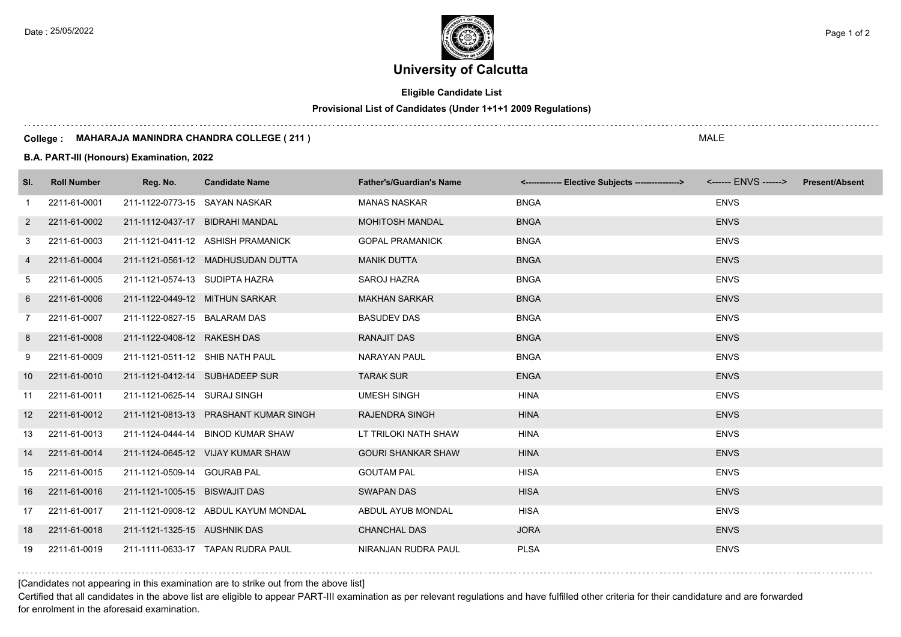Date : 25/05/2022 Page 1 of 2

# **University of Calcutta**

**Eligible Candidate List**

## **Provisional List of Candidates (Under 1+1+1 2009 Regulations)**

#### **College : MAHARAJA MANINDRA CHANDRA COLLEGE ( 211 )**

**B.A. PART-III (Honours) Examination, 2022**

| SI.             | <b>Roll Number</b> | Reg. No.                       | <b>Candidate Name</b>                 | <b>Father's/Guardian's Name</b> | <-------------- Elective Subjects ----------------> | <b>Present/Absent</b> |
|-----------------|--------------------|--------------------------------|---------------------------------------|---------------------------------|-----------------------------------------------------|-----------------------|
| -1              | 2211-61-0001       | 211-1122-0773-15 SAYAN NASKAR  |                                       | <b>MANAS NASKAR</b>             | <b>BNGA</b>                                         | <b>ENVS</b>           |
| $\mathbf{2}$    | 2211-61-0002       |                                | 211-1112-0437-17 BIDRAHI MANDAL       | <b>MOHITOSH MANDAL</b>          | <b>BNGA</b>                                         | <b>ENVS</b>           |
| 3               | 2211-61-0003       |                                | 211-1121-0411-12 ASHISH PRAMANICK     | <b>GOPAL PRAMANICK</b>          | <b>BNGA</b>                                         | <b>ENVS</b>           |
| 4               | 2211-61-0004       |                                | 211-1121-0561-12 MADHUSUDAN DUTTA     | <b>MANIK DUTTA</b>              | <b>BNGA</b>                                         | <b>ENVS</b>           |
| 5               | 2211-61-0005       | 211-1121-0574-13 SUDIPTA HAZRA |                                       | SAROJ HAZRA                     | <b>BNGA</b>                                         | <b>ENVS</b>           |
| 6               | 2211-61-0006       |                                | 211-1122-0449-12 MITHUN SARKAR        | <b>MAKHAN SARKAR</b>            | <b>BNGA</b>                                         | <b>ENVS</b>           |
| 7               | 2211-61-0007       | 211-1122-0827-15 BALARAM DAS   |                                       | <b>BASUDEV DAS</b>              | <b>BNGA</b>                                         | <b>ENVS</b>           |
| 8               | 2211-61-0008       | 211-1122-0408-12 RAKESH DAS    |                                       | <b>RANAJIT DAS</b>              | <b>BNGA</b>                                         | <b>ENVS</b>           |
| 9               | 2211-61-0009       |                                | 211-1121-0511-12 SHIB NATH PAUL       | <b>NARAYAN PAUL</b>             | <b>BNGA</b>                                         | <b>ENVS</b>           |
| 10              | 2211-61-0010       |                                | 211-1121-0412-14 SUBHADEEP SUR        | <b>TARAK SUR</b>                | <b>ENGA</b>                                         | <b>ENVS</b>           |
| 11              | 2211-61-0011       | 211-1121-0625-14 SURAJ SINGH   |                                       | <b>UMESH SINGH</b>              | <b>HINA</b>                                         | <b>ENVS</b>           |
| 12 <sup>2</sup> | 2211-61-0012       |                                | 211-1121-0813-13 PRASHANT KUMAR SINGH | <b>RAJENDRA SINGH</b>           | <b>HINA</b>                                         | <b>ENVS</b>           |
| 13              | 2211-61-0013       |                                | 211-1124-0444-14 BINOD KUMAR SHAW     | LT TRILOKI NATH SHAW            | <b>HINA</b>                                         | <b>ENVS</b>           |
| 14              | 2211-61-0014       |                                | 211-1124-0645-12 VIJAY KUMAR SHAW     | <b>GOURI SHANKAR SHAW</b>       | <b>HINA</b>                                         | <b>ENVS</b>           |
| 15              | 2211-61-0015       | 211-1121-0509-14 GOURAB PAL    |                                       | <b>GOUTAM PAL</b>               | <b>HISA</b>                                         | <b>ENVS</b>           |
| 16              | 2211-61-0016       | 211-1121-1005-15 BISWAJIT DAS  |                                       | <b>SWAPAN DAS</b>               | <b>HISA</b>                                         | <b>ENVS</b>           |
| 17              | 2211-61-0017       |                                | 211-1121-0908-12 ABDUL KAYUM MONDAL   | ABDUL AYUB MONDAL               | <b>HISA</b>                                         | <b>ENVS</b>           |
| 18              | 2211-61-0018       | 211-1121-1325-15 AUSHNIK DAS   |                                       | <b>CHANCHAL DAS</b>             | <b>JORA</b>                                         | <b>ENVS</b>           |
| 19              | 2211-61-0019       |                                | 211-1111-0633-17 TAPAN RUDRA PAUL     | NIRANJAN RUDRA PAUL             | <b>PLSA</b>                                         | <b>ENVS</b>           |

[Candidates not appearing in this examination are to strike out from the above list]

Certified that all candidates in the above list are eligible to appear PART-III examination as per relevant regulations and have fulfilled other criteria for their candidature and are forwarded for enrolment in the aforesaid examination.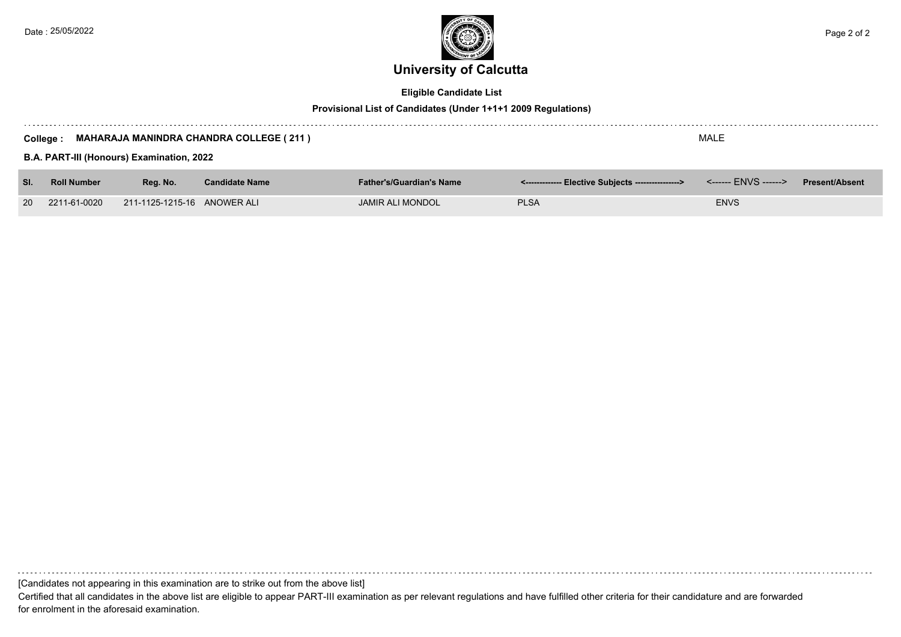

## **Eligible Candidate List**

## **Provisional List of Candidates (Under 1+1+1 2009 Regulations)**

| MALE<br><b>MAHARAJA MANINDRA CHANDRA COLLEGE (211)</b><br>College :<br>B.A. PART-III (Honours) Examination, 2022 |                    |                             |                       |                                 |                                                    |             |                       |
|------------------------------------------------------------------------------------------------------------------|--------------------|-----------------------------|-----------------------|---------------------------------|----------------------------------------------------|-------------|-----------------------|
| SI.                                                                                                              | <b>Roll Number</b> | Reg. No.                    | <b>Candidate Name</b> | <b>Father's/Guardian's Name</b> | <-------------- Elective Subjects ---------------> |             | <b>Present/Absent</b> |
| <b>20</b>                                                                                                        | 2211-61-0020       | 211-1125-1215-16 ANOWER ALI |                       | <b>JAMIR ALI MONDOL</b>         | <b>PLSA</b>                                        | <b>ENVS</b> |                       |

[Candidates not appearing in this examination are to strike out from the above list]

Certified that all candidates in the above list are eligible to appear PART-III examination as per relevant regulations and have fulfilled other criteria for their candidature and are forwarded for enrolment in the aforesaid examination.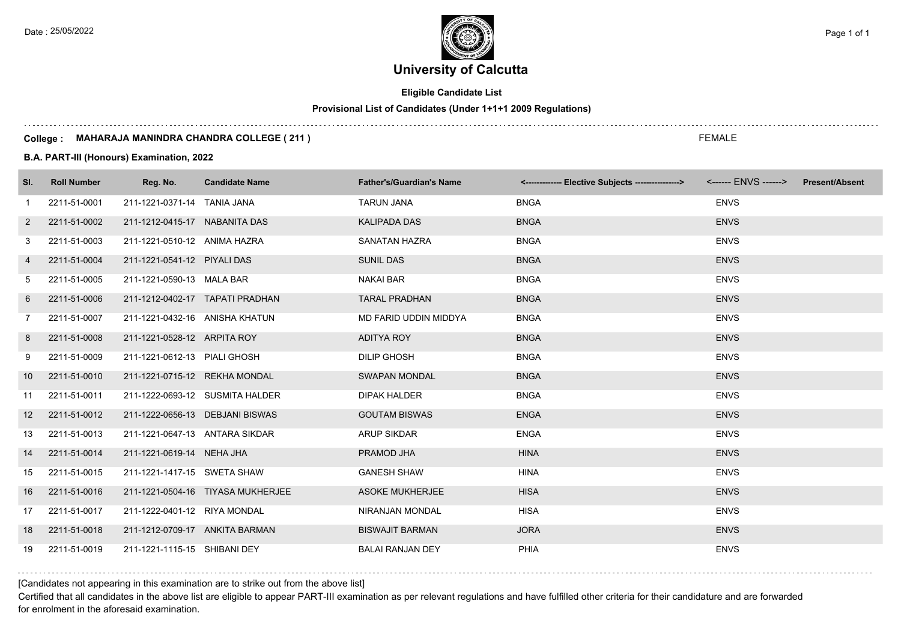**Eligible Candidate List**

**Provisional List of Candidates (Under 1+1+1 2009 Regulations)**

#### **College : MAHARAJA MANINDRA CHANDRA COLLEGE ( 211 )**

**B.A. PART-III (Honours) Examination, 2022**

| SI.               | <b>Roll Number</b> | Reg. No.                        | <b>Candidate Name</b>             | <b>Father's/Guardian's Name</b> | <-------------- Elective Subjects ----------------> <------ ENVS ------> Present/Absent |             |
|-------------------|--------------------|---------------------------------|-----------------------------------|---------------------------------|-----------------------------------------------------------------------------------------|-------------|
| $\overline{1}$    | 2211-51-0001       | 211-1221-0371-14 TANIA JANA     |                                   | <b>TARUN JANA</b>               | <b>BNGA</b>                                                                             | <b>ENVS</b> |
| $\overline{2}$    | 2211-51-0002       | 211-1212-0415-17 NABANITA DAS   |                                   | <b>KALIPADA DAS</b>             | <b>BNGA</b>                                                                             | <b>ENVS</b> |
| 3                 | 2211-51-0003       | 211-1221-0510-12 ANIMA HAZRA    |                                   | SANATAN HAZRA                   | <b>BNGA</b>                                                                             | <b>ENVS</b> |
| 4                 | 2211-51-0004       | 211-1221-0541-12 PIYALI DAS     |                                   | <b>SUNIL DAS</b>                | <b>BNGA</b>                                                                             | <b>ENVS</b> |
| 5                 | 2211-51-0005       | 211-1221-0590-13 MALA BAR       |                                   | <b>NAKAI BAR</b>                | <b>BNGA</b>                                                                             | <b>ENVS</b> |
| 6                 | 2211-51-0006       |                                 | 211-1212-0402-17 TAPATI PRADHAN   | <b>TARAL PRADHAN</b>            | <b>BNGA</b>                                                                             | <b>ENVS</b> |
| 7                 | 2211-51-0007       | 211-1221-0432-16 ANISHA KHATUN  |                                   | MD FARID UDDIN MIDDYA           | <b>BNGA</b>                                                                             | <b>ENVS</b> |
| 8                 | 2211-51-0008       | 211-1221-0528-12 ARPITA ROY     |                                   | <b>ADITYA ROY</b>               | <b>BNGA</b>                                                                             | <b>ENVS</b> |
| 9                 | 2211-51-0009       | 211-1221-0612-13 PIALI GHOSH    |                                   | <b>DILIP GHOSH</b>              | <b>BNGA</b>                                                                             | <b>ENVS</b> |
| 10                | 2211-51-0010       | 211-1221-0715-12 REKHA MONDAL   |                                   | <b>SWAPAN MONDAL</b>            | <b>BNGA</b>                                                                             | <b>ENVS</b> |
| 11                | 2211-51-0011       |                                 | 211-1222-0693-12 SUSMITA HALDER   | <b>DIPAK HALDER</b>             | <b>BNGA</b>                                                                             | <b>ENVS</b> |
| $12 \overline{ }$ | 2211-51-0012       | 211-1222-0656-13 DEBJANI BISWAS |                                   | <b>GOUTAM BISWAS</b>            | <b>ENGA</b>                                                                             | <b>ENVS</b> |
| 13                | 2211-51-0013       | 211-1221-0647-13 ANTARA SIKDAR  |                                   | <b>ARUP SIKDAR</b>              | <b>ENGA</b>                                                                             | <b>ENVS</b> |
| 14                | 2211-51-0014       | 211-1221-0619-14 NEHA JHA       |                                   | PRAMOD JHA                      | <b>HINA</b>                                                                             | <b>ENVS</b> |
| 15                | 2211-51-0015       | 211-1221-1417-15 SWETA SHAW     |                                   | <b>GANESH SHAW</b>              | <b>HINA</b>                                                                             | <b>ENVS</b> |
| 16                | 2211-51-0016       |                                 | 211-1221-0504-16 TIYASA MUKHERJEE | <b>ASOKE MUKHERJEE</b>          | <b>HISA</b>                                                                             | <b>ENVS</b> |
| 17                | 2211-51-0017       | 211-1222-0401-12 RIYA MONDAL    |                                   | <b>NIRANJAN MONDAL</b>          | <b>HISA</b>                                                                             | <b>ENVS</b> |
| 18                | 2211-51-0018       | 211-1212-0709-17 ANKITA BARMAN  |                                   | <b>BISWAJIT BARMAN</b>          | <b>JORA</b>                                                                             | <b>ENVS</b> |
| 19                | 2211-51-0019       | 211-1221-1115-15 SHIBANI DEY    |                                   | <b>BALAI RANJAN DEY</b>         | PHIA                                                                                    | <b>ENVS</b> |

[Candidates not appearing in this examination are to strike out from the above list]

Certified that all candidates in the above list are eligible to appear PART-III examination as per relevant regulations and have fulfilled other criteria for their candidature and are forwarded for enrolment in the aforesaid examination.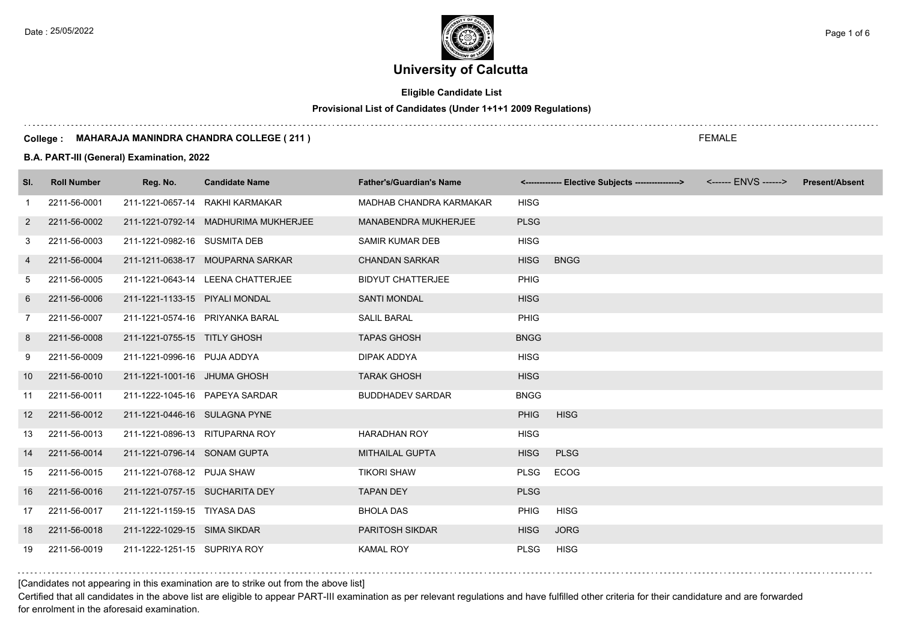## **Eligible Candidate List**

## **Provisional List of Candidates (Under 1+1+1 2009 Regulations)**

#### **College : MAHARAJA MANINDRA CHANDRA COLLEGE ( 211 )**

### **B.A. PART-III (General) Examination, 2022**

| SI.             | <b>Roll Number</b> | Reg. No.                       | <b>Candidate Name</b>                | <b>Father's/Guardian's Name</b> |             | <-------------- Elective Subjects ----------------> | <b>Present/Absent</b> |
|-----------------|--------------------|--------------------------------|--------------------------------------|---------------------------------|-------------|-----------------------------------------------------|-----------------------|
| -1              | 2211-56-0001       |                                | 211-1221-0657-14 RAKHI KARMAKAR      | MADHAB CHANDRA KARMAKAR         | <b>HISG</b> |                                                     |                       |
| 2               | 2211-56-0002       |                                | 211-1221-0792-14 MADHURIMA MUKHERJEE | <b>MANABENDRA MUKHERJEE</b>     | <b>PLSG</b> |                                                     |                       |
| 3               | 2211-56-0003       | 211-1221-0982-16 SUSMITA DEB   |                                      | <b>SAMIR KUMAR DEB</b>          | <b>HISG</b> |                                                     |                       |
| 4               | 2211-56-0004       |                                | 211-1211-0638-17 MOUPARNA SARKAR     | <b>CHANDAN SARKAR</b>           | <b>HISG</b> | <b>BNGG</b>                                         |                       |
| 5               | 2211-56-0005       |                                | 211-1221-0643-14 LEENA CHATTERJEE    | <b>BIDYUT CHATTERJEE</b>        | <b>PHIG</b> |                                                     |                       |
| 6               | 2211-56-0006       | 211-1221-1133-15 PIYALI MONDAL |                                      | <b>SANTI MONDAL</b>             | <b>HISG</b> |                                                     |                       |
| $\overline{7}$  | 2211-56-0007       |                                | 211-1221-0574-16 PRIYANKA BARAL      | <b>SALIL BARAL</b>              | <b>PHIG</b> |                                                     |                       |
| 8               | 2211-56-0008       | 211-1221-0755-15 TITLY GHOSH   |                                      | <b>TAPAS GHOSH</b>              | <b>BNGG</b> |                                                     |                       |
| 9               | 2211-56-0009       | 211-1221-0996-16 PUJA ADDYA    |                                      | DIPAK ADDYA                     | <b>HISG</b> |                                                     |                       |
| 10              | 2211-56-0010       | 211-1221-1001-16 JHUMA GHOSH   |                                      | <b>TARAK GHOSH</b>              | <b>HISG</b> |                                                     |                       |
| 11              | 2211-56-0011       |                                | 211-1222-1045-16 PAPEYA SARDAR       | <b>BUDDHADEV SARDAR</b>         | <b>BNGG</b> |                                                     |                       |
| 12 <sup>°</sup> | 2211-56-0012       | 211-1221-0446-16 SULAGNA PYNE  |                                      |                                 | <b>PHIG</b> | <b>HISG</b>                                         |                       |
| 13              | 2211-56-0013       | 211-1221-0896-13 RITUPARNA ROY |                                      | <b>HARADHAN ROY</b>             | <b>HISG</b> |                                                     |                       |
| 14              | 2211-56-0014       | 211-1221-0796-14 SONAM GUPTA   |                                      | <b>MITHAILAL GUPTA</b>          | <b>HISG</b> | <b>PLSG</b>                                         |                       |
| 15              | 2211-56-0015       | 211-1221-0768-12 PUJA SHAW     |                                      | <b>TIKORI SHAW</b>              | <b>PLSG</b> | <b>ECOG</b>                                         |                       |
| 16              | 2211-56-0016       | 211-1221-0757-15 SUCHARITA DEY |                                      | <b>TAPAN DEY</b>                | <b>PLSG</b> |                                                     |                       |
| 17              | 2211-56-0017       | 211-1221-1159-15 TIYASA DAS    |                                      | <b>BHOLA DAS</b>                | <b>PHIG</b> | <b>HISG</b>                                         |                       |
| 18              | 2211-56-0018       | 211-1222-1029-15 SIMA SIKDAR   |                                      | PARITOSH SIKDAR                 | <b>HISG</b> | <b>JORG</b>                                         |                       |
| 19              | 2211-56-0019       | 211-1222-1251-15 SUPRIYA ROY   |                                      | <b>KAMAL ROY</b>                | <b>PLSG</b> | <b>HISG</b>                                         |                       |

## [Candidates not appearing in this examination are to strike out from the above list]

Certified that all candidates in the above list are eligible to appear PART-III examination as per relevant regulations and have fulfilled other criteria for their candidature and are forwarded for enrolment in the aforesaid examination.

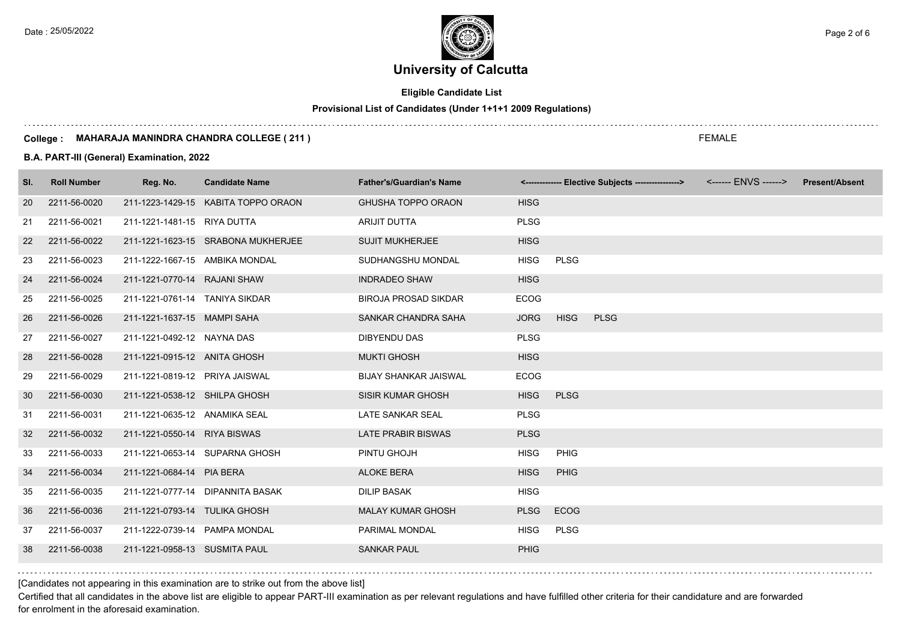## **Eligible Candidate List**

## **Provisional List of Candidates (Under 1+1+1 2009 Regulations)**

#### **College : MAHARAJA MANINDRA CHANDRA COLLEGE ( 211 )**

### **B.A. PART-III (General) Examination, 2022**

| SI. | <b>Roll Number</b> | Reg. No.                       | <b>Candidate Name</b>               | <b>Father's/Guardian's Name</b> |             |             | <-------------- Elective Subjects ----------------> | <b>Present/Absent</b> |
|-----|--------------------|--------------------------------|-------------------------------------|---------------------------------|-------------|-------------|-----------------------------------------------------|-----------------------|
| 20  | 2211-56-0020       |                                | 211-1223-1429-15 KABITA TOPPO ORAON | <b>GHUSHA TOPPO ORAON</b>       | <b>HISG</b> |             |                                                     |                       |
| 21  | 2211-56-0021       | 211-1221-1481-15 RIYA DUTTA    |                                     | ARIJIT DUTTA                    | <b>PLSG</b> |             |                                                     |                       |
| 22  | 2211-56-0022       |                                | 211-1221-1623-15 SRABONA MUKHERJEE  | <b>SUJIT MUKHERJEE</b>          | <b>HISG</b> |             |                                                     |                       |
| 23  | 2211-56-0023       | 211-1222-1667-15 AMBIKA MONDAL |                                     | SUDHANGSHU MONDAL               | <b>HISG</b> | <b>PLSG</b> |                                                     |                       |
| 24  | 2211-56-0024       | 211-1221-0770-14 RAJANI SHAW   |                                     | <b>INDRADEO SHAW</b>            | <b>HISG</b> |             |                                                     |                       |
| 25  | 2211-56-0025       | 211-1221-0761-14 TANIYA SIKDAR |                                     | <b>BIROJA PROSAD SIKDAR</b>     | <b>ECOG</b> |             |                                                     |                       |
| 26  | 2211-56-0026       | 211-1221-1637-15 MAMPI SAHA    |                                     | SANKAR CHANDRA SAHA             | <b>JORG</b> | <b>HISG</b> | <b>PLSG</b>                                         |                       |
| 27  | 2211-56-0027       | 211-1221-0492-12 NAYNA DAS     |                                     | <b>DIBYENDU DAS</b>             | <b>PLSG</b> |             |                                                     |                       |
| 28  | 2211-56-0028       | 211-1221-0915-12 ANITA GHOSH   |                                     | <b>MUKTI GHOSH</b>              | <b>HISG</b> |             |                                                     |                       |
| 29  | 2211-56-0029       | 211-1221-0819-12 PRIYA JAISWAL |                                     | <b>BIJAY SHANKAR JAISWAL</b>    | <b>ECOG</b> |             |                                                     |                       |
| 30  | 2211-56-0030       | 211-1221-0538-12 SHILPA GHOSH  |                                     | <b>SISIR KUMAR GHOSH</b>        | <b>HISG</b> | <b>PLSG</b> |                                                     |                       |
| 31  | 2211-56-0031       | 211-1221-0635-12 ANAMIKA SEAL  |                                     | LATE SANKAR SEAL                | <b>PLSG</b> |             |                                                     |                       |
| 32  | 2211-56-0032       | 211-1221-0550-14 RIYA BISWAS   |                                     | <b>LATE PRABIR BISWAS</b>       | <b>PLSG</b> |             |                                                     |                       |
| 33  | 2211-56-0033       |                                | 211-1221-0653-14 SUPARNA GHOSH      | PINTU GHOJH                     | <b>HISG</b> | PHIG        |                                                     |                       |
| 34  | 2211-56-0034       | 211-1221-0684-14 PIA BERA      |                                     | <b>ALOKE BERA</b>               | <b>HISG</b> | <b>PHIG</b> |                                                     |                       |
| 35  | 2211-56-0035       |                                | 211-1221-0777-14 DIPANNITA BASAK    | <b>DILIP BASAK</b>              | <b>HISG</b> |             |                                                     |                       |
| 36  | 2211-56-0036       | 211-1221-0793-14 TULIKA GHOSH  |                                     | <b>MALAY KUMAR GHOSH</b>        | <b>PLSG</b> | <b>ECOG</b> |                                                     |                       |
| 37  | 2211-56-0037       | 211-1222-0739-14 PAMPA MONDAL  |                                     | PARIMAL MONDAL                  | <b>HISG</b> | <b>PLSG</b> |                                                     |                       |
| 38  | 2211-56-0038       | 211-1221-0958-13 SUSMITA PAUL  |                                     | <b>SANKAR PAUL</b>              | <b>PHIG</b> |             |                                                     |                       |

[Candidates not appearing in this examination are to strike out from the above list]

Certified that all candidates in the above list are eligible to appear PART-III examination as per relevant regulations and have fulfilled other criteria for their candidature and are forwarded for enrolment in the aforesaid examination.

FEMALE

Date : 25/05/2022 **Page 2 of 6**  $\begin{pmatrix} 25/05/2022 \end{pmatrix}$  Page 2 of 6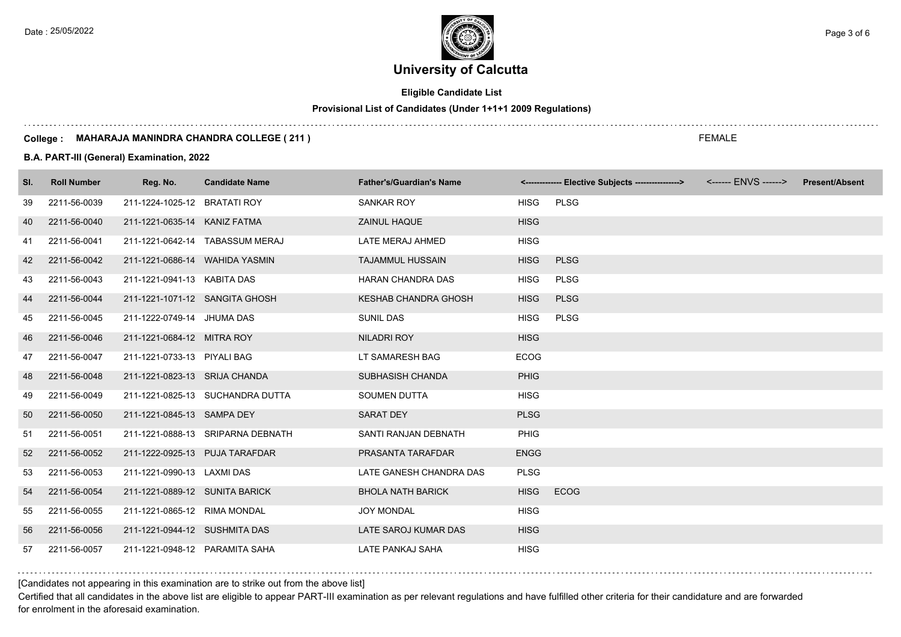## **Eligible Candidate List**

## **Provisional List of Candidates (Under 1+1+1 2009 Regulations)**

#### **College : MAHARAJA MANINDRA CHANDRA COLLEGE ( 211 )**

### **B.A. PART-III (General) Examination, 2022**

| SI. | <b>Roll Number</b> | Reg. No.                       | <b>Candidate Name</b>             | <b>Father's/Guardian's Name</b> |             | <-------------- Elective Subjects ----------------> | <b>Present/Absent</b> |
|-----|--------------------|--------------------------------|-----------------------------------|---------------------------------|-------------|-----------------------------------------------------|-----------------------|
| 39  | 2211-56-0039       | 211-1224-1025-12 BRATATI ROY   |                                   | <b>SANKAR ROY</b>               | <b>HISG</b> | <b>PLSG</b>                                         |                       |
| 40  | 2211-56-0040       | 211-1221-0635-14 KANIZ FATMA   |                                   | ZAINUL HAQUE                    | <b>HISG</b> |                                                     |                       |
| 41  | 2211-56-0041       |                                | 211-1221-0642-14 TABASSUM MERAJ   | LATE MERAJ AHMED                | <b>HISG</b> |                                                     |                       |
| 42  | 2211-56-0042       | 211-1221-0686-14 WAHIDA YASMIN |                                   | <b>TAJAMMUL HUSSAIN</b>         | <b>HISG</b> | <b>PLSG</b>                                         |                       |
| 43  | 2211-56-0043       | 211-1221-0941-13 KABITA DAS    |                                   | HARAN CHANDRA DAS               | <b>HISG</b> | <b>PLSG</b>                                         |                       |
| 44  | 2211-56-0044       | 211-1221-1071-12 SANGITA GHOSH |                                   | <b>KESHAB CHANDRA GHOSH</b>     | <b>HISG</b> | <b>PLSG</b>                                         |                       |
| 45  | 2211-56-0045       | 211-1222-0749-14 JHUMA DAS     |                                   | <b>SUNIL DAS</b>                | <b>HISG</b> | <b>PLSG</b>                                         |                       |
| 46  | 2211-56-0046       | 211-1221-0684-12 MITRA ROY     |                                   | NILADRI ROY                     | <b>HISG</b> |                                                     |                       |
| 47  | 2211-56-0047       | 211-1221-0733-13 PIYALI BAG    |                                   | LT SAMARESH BAG                 | <b>ECOG</b> |                                                     |                       |
| 48  | 2211-56-0048       | 211-1221-0823-13 SRIJA CHANDA  |                                   | SUBHASISH CHANDA                | <b>PHIG</b> |                                                     |                       |
| 49  | 2211-56-0049       |                                | 211-1221-0825-13 SUCHANDRA DUTTA  | <b>SOUMEN DUTTA</b>             | <b>HISG</b> |                                                     |                       |
| 50  | 2211-56-0050       | 211-1221-0845-13 SAMPA DEY     |                                   | <b>SARAT DEY</b>                | <b>PLSG</b> |                                                     |                       |
| 51  | 2211-56-0051       |                                | 211-1221-0888-13 SRIPARNA DEBNATH | SANTI RANJAN DEBNATH            | <b>PHIG</b> |                                                     |                       |
| 52  | 2211-56-0052       | 211-1222-0925-13 PUJA TARAFDAR |                                   | PRASANTA TARAFDAR               | <b>ENGG</b> |                                                     |                       |
| 53  | 2211-56-0053       | 211-1221-0990-13 LAXMI DAS     |                                   | LATE GANESH CHANDRA DAS         | <b>PLSG</b> |                                                     |                       |
| 54  | 2211-56-0054       | 211-1221-0889-12 SUNITA BARICK |                                   | <b>BHOLA NATH BARICK</b>        | <b>HISG</b> | <b>ECOG</b>                                         |                       |
| 55  | 2211-56-0055       | 211-1221-0865-12 RIMA MONDAL   |                                   | <b>JOY MONDAL</b>               | <b>HISG</b> |                                                     |                       |
| 56  | 2211-56-0056       | 211-1221-0944-12 SUSHMITA DAS  |                                   | LATE SAROJ KUMAR DAS            | <b>HISG</b> |                                                     |                       |
| 57  | 2211-56-0057       | 211-1221-0948-12 PARAMITA SAHA |                                   | LATE PANKAJ SAHA                | <b>HISG</b> |                                                     |                       |

[Candidates not appearing in this examination are to strike out from the above list]

Certified that all candidates in the above list are eligible to appear PART-III examination as per relevant regulations and have fulfilled other criteria for their candidature and are forwarded for enrolment in the aforesaid examination.

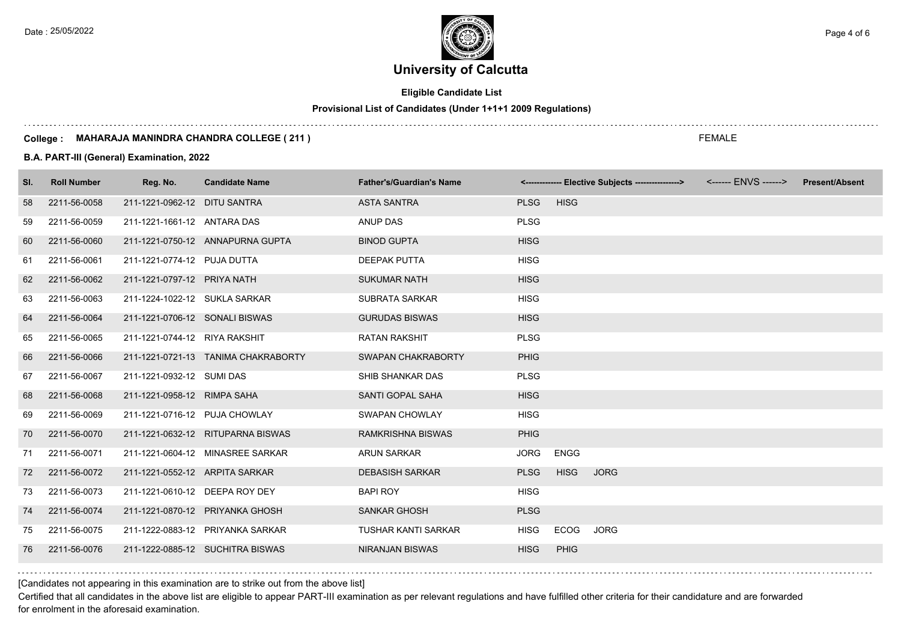**Eligible Candidate List**

**Provisional List of Candidates (Under 1+1+1 2009 Regulations)**

#### **College : MAHARAJA MANINDRA CHANDRA COLLEGE ( 211 )**

### **B.A. PART-III (General) Examination, 2022**

| SI. | <b>Roll Number</b> | Reg. No.                       | <b>Candidate Name</b>               | <b>Father's/Guardian's Name</b> |             |             | <-------------- Elective Subjects ----------------> | <b>Present/Absent</b> |
|-----|--------------------|--------------------------------|-------------------------------------|---------------------------------|-------------|-------------|-----------------------------------------------------|-----------------------|
| 58  | 2211-56-0058       | 211-1221-0962-12 DITU SANTRA   |                                     | <b>ASTA SANTRA</b>              | <b>PLSG</b> | <b>HISG</b> |                                                     |                       |
| 59  | 2211-56-0059       | 211-1221-1661-12 ANTARA DAS    |                                     | ANUP DAS                        | <b>PLSG</b> |             |                                                     |                       |
| 60  | 2211-56-0060       |                                | 211-1221-0750-12 ANNAPURNA GUPTA    | <b>BINOD GUPTA</b>              | <b>HISG</b> |             |                                                     |                       |
| 61  | 2211-56-0061       | 211-1221-0774-12 PUJA DUTTA    |                                     | <b>DEEPAK PUTTA</b>             | <b>HISG</b> |             |                                                     |                       |
| 62  | 2211-56-0062       | 211-1221-0797-12 PRIYA NATH    |                                     | <b>SUKUMAR NATH</b>             | <b>HISG</b> |             |                                                     |                       |
| 63  | 2211-56-0063       | 211-1224-1022-12 SUKLA SARKAR  |                                     | <b>SUBRATA SARKAR</b>           | <b>HISG</b> |             |                                                     |                       |
| 64  | 2211-56-0064       | 211-1221-0706-12 SONALI BISWAS |                                     | <b>GURUDAS BISWAS</b>           | <b>HISG</b> |             |                                                     |                       |
| 65  | 2211-56-0065       | 211-1221-0744-12 RIYA RAKSHIT  |                                     | <b>RATAN RAKSHIT</b>            | <b>PLSG</b> |             |                                                     |                       |
| 66  | 2211-56-0066       |                                | 211-1221-0721-13 TANIMA CHAKRABORTY | SWAPAN CHAKRABORTY              | <b>PHIG</b> |             |                                                     |                       |
| 67  | 2211-56-0067       | 211-1221-0932-12 SUMI DAS      |                                     | SHIB SHANKAR DAS                | <b>PLSG</b> |             |                                                     |                       |
| 68  | 2211-56-0068       | 211-1221-0958-12 RIMPA SAHA    |                                     | SANTI GOPAL SAHA                | <b>HISG</b> |             |                                                     |                       |
| 69  | 2211-56-0069       | 211-1221-0716-12 PUJA CHOWLAY  |                                     | <b>SWAPAN CHOWLAY</b>           | <b>HISG</b> |             |                                                     |                       |
| 70  | 2211-56-0070       |                                | 211-1221-0632-12 RITUPARNA BISWAS   | <b>RAMKRISHNA BISWAS</b>        | <b>PHIG</b> |             |                                                     |                       |
| 71  | 2211-56-0071       |                                | 211-1221-0604-12 MINASREE SARKAR    | <b>ARUN SARKAR</b>              | <b>JORG</b> | <b>ENGG</b> |                                                     |                       |
| 72  | 2211-56-0072       | 211-1221-0552-12 ARPITA SARKAR |                                     | <b>DEBASISH SARKAR</b>          | <b>PLSG</b> | <b>HISG</b> | <b>JORG</b>                                         |                       |
| 73  | 2211-56-0073       | 211-1221-0610-12 DEEPA ROY DEY |                                     | <b>BAPI ROY</b>                 | <b>HISG</b> |             |                                                     |                       |
| 74  | 2211-56-0074       |                                | 211-1221-0870-12 PRIYANKA GHOSH     | <b>SANKAR GHOSH</b>             | <b>PLSG</b> |             |                                                     |                       |
| 75  | 2211-56-0075       |                                | 211-1222-0883-12 PRIYANKA SARKAR    | <b>TUSHAR KANTI SARKAR</b>      | <b>HISG</b> | <b>ECOG</b> | <b>JORG</b>                                         |                       |
| 76  | 2211-56-0076       |                                | 211-1222-0885-12 SUCHITRA BISWAS    | <b>NIRANJAN BISWAS</b>          | <b>HISG</b> | <b>PHIG</b> |                                                     |                       |

[Candidates not appearing in this examination are to strike out from the above list]

Certified that all candidates in the above list are eligible to appear PART-III examination as per relevant regulations and have fulfilled other criteria for their candidature and are forwarded for enrolment in the aforesaid examination.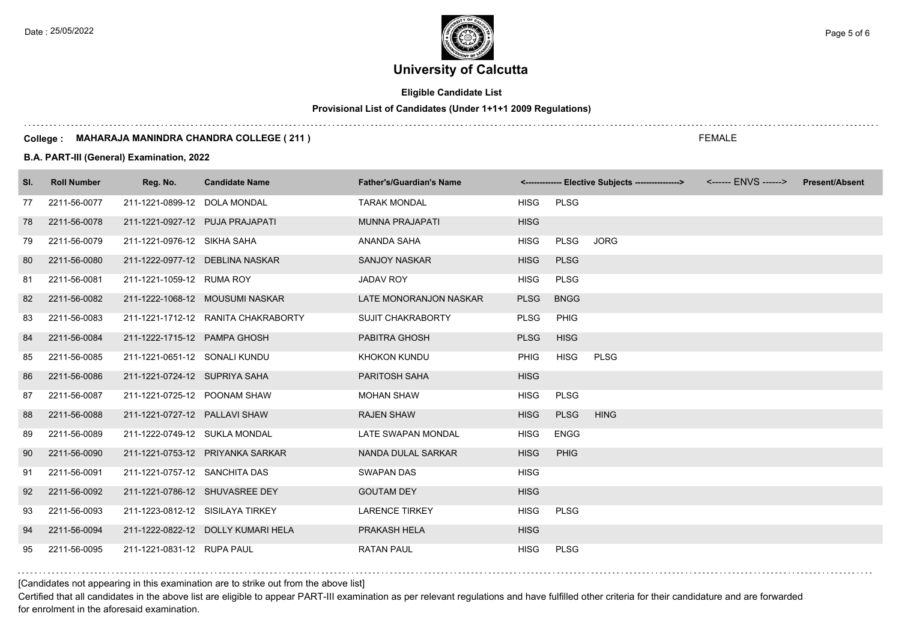**Eligible Candidate List**

**Provisional List of Candidates (Under 1+1+1 2009 Regulations)**

#### **College : MAHARAJA MANINDRA CHANDRA COLLEGE ( 211 )**

### **B.A. PART-III (General) Examination, 2022**

| SI. | <b>Roll Number</b> | Reg. No.                         | <b>Candidate Name</b>               | <b>Father's/Guardian's Name</b> |             |             | <-------------- Elective Subjects ----------------> | <b>Present/Absent</b> |
|-----|--------------------|----------------------------------|-------------------------------------|---------------------------------|-------------|-------------|-----------------------------------------------------|-----------------------|
| 77  | 2211-56-0077       | 211-1221-0899-12 DOLA MONDAL     |                                     | <b>TARAK MONDAL</b>             | <b>HISG</b> | <b>PLSG</b> |                                                     |                       |
| 78  | 2211-56-0078       | 211-1221-0927-12 PUJA PRAJAPATI  |                                     | <b>MUNNA PRAJAPATI</b>          | <b>HISG</b> |             |                                                     |                       |
| 79  | 2211-56-0079       | 211-1221-0976-12 SIKHA SAHA      |                                     | ANANDA SAHA                     | <b>HISG</b> | <b>PLSG</b> | <b>JORG</b>                                         |                       |
| 80  | 2211-56-0080       |                                  | 211-1222-0977-12 DEBLINA NASKAR     | <b>SANJOY NASKAR</b>            | <b>HISG</b> | <b>PLSG</b> |                                                     |                       |
| 81  | 2211-56-0081       | 211-1221-1059-12 RUMA ROY        |                                     | <b>JADAV ROY</b>                | <b>HISG</b> | <b>PLSG</b> |                                                     |                       |
| 82  | 2211-56-0082       |                                  | 211-1222-1068-12 MOUSUMI NASKAR     | LATE MONORANJON NASKAR          | <b>PLSG</b> | <b>BNGG</b> |                                                     |                       |
| 83  | 2211-56-0083       |                                  | 211-1221-1712-12 RANITA CHAKRABORTY | <b>SUJIT CHAKRABORTY</b>        | <b>PLSG</b> | PHIG        |                                                     |                       |
| 84  | 2211-56-0084       | 211-1222-1715-12 PAMPA GHOSH     |                                     | PABITRA GHOSH                   | <b>PLSG</b> | <b>HISG</b> |                                                     |                       |
| 85  | 2211-56-0085       | 211-1221-0651-12 SONALI KUNDU    |                                     | KHOKON KUNDU                    | <b>PHIG</b> | <b>HISG</b> | <b>PLSG</b>                                         |                       |
| 86  | 2211-56-0086       | 211-1221-0724-12 SUPRIYA SAHA    |                                     | PARITOSH SAHA                   | <b>HISG</b> |             |                                                     |                       |
| 87  | 2211-56-0087       | 211-1221-0725-12 POONAM SHAW     |                                     | <b>MOHAN SHAW</b>               | <b>HISG</b> | <b>PLSG</b> |                                                     |                       |
| 88  | 2211-56-0088       | 211-1221-0727-12 PALLAVI SHAW    |                                     | <b>RAJEN SHAW</b>               | <b>HISG</b> | <b>PLSG</b> | <b>HING</b>                                         |                       |
| 89  | 2211-56-0089       | 211-1222-0749-12 SUKLA MONDAL    |                                     | LATE SWAPAN MONDAL              | <b>HISG</b> | <b>ENGG</b> |                                                     |                       |
| 90  | 2211-56-0090       |                                  | 211-1221-0753-12 PRIYANKA SARKAR    | NANDA DULAL SARKAR              | <b>HISG</b> | PHIG        |                                                     |                       |
| 91  | 2211-56-0091       | 211-1221-0757-12 SANCHITA DAS    |                                     | <b>SWAPAN DAS</b>               | <b>HISG</b> |             |                                                     |                       |
| 92  | 2211-56-0092       |                                  | 211-1221-0786-12 SHUVASREE DEY      | <b>GOUTAM DEY</b>               | <b>HISG</b> |             |                                                     |                       |
| 93  | 2211-56-0093       | 211-1223-0812-12 SISILAYA TIRKEY |                                     | <b>LARENCE TIRKEY</b>           | <b>HISG</b> | <b>PLSG</b> |                                                     |                       |
| 94  | 2211-56-0094       |                                  | 211-1222-0822-12 DOLLY KUMARI HELA  | PRAKASH HELA                    | <b>HISG</b> |             |                                                     |                       |
| 95  | 2211-56-0095       | 211-1221-0831-12 RUPA PAUL       |                                     | <b>RATAN PAUL</b>               | <b>HISG</b> | <b>PLSG</b> |                                                     |                       |

[Candidates not appearing in this examination are to strike out from the above list]

Certified that all candidates in the above list are eligible to appear PART-III examination as per relevant regulations and have fulfilled other criteria for their candidature and are forwarded for enrolment in the aforesaid examination.

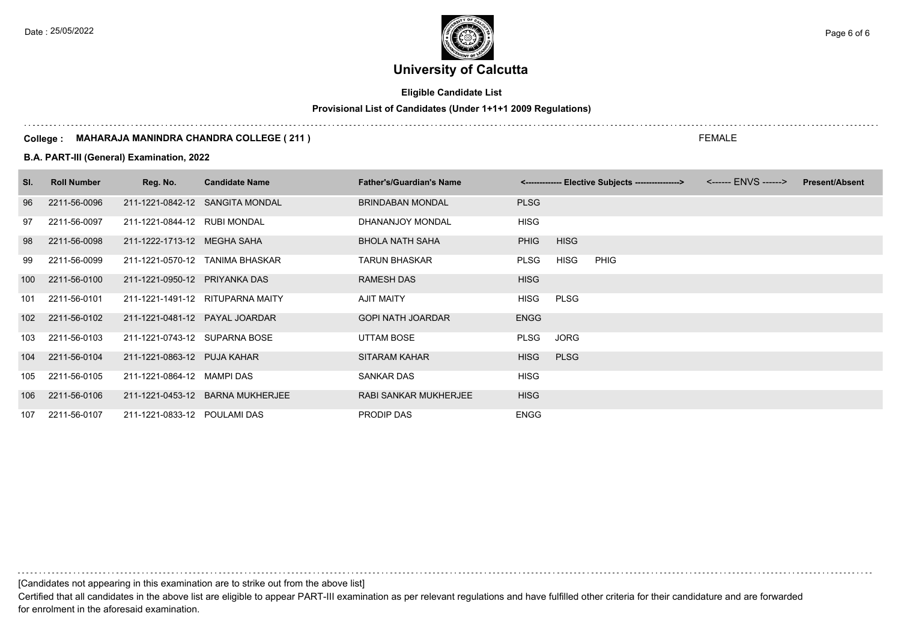## **Eligible Candidate List**

## **Provisional List of Candidates (Under 1+1+1 2009 Regulations)**

#### **College : MAHARAJA MANINDRA CHANDRA COLLEGE ( 211 )**

### **B.A. PART-III (General) Examination, 2022**

| SI. | <b>Roll Number</b> | Reg. No.                       | <b>Candidate Name</b>            | <b>Father's/Guardian's Name</b> |             |             | <------------- Elective Subjects ----------------> | <b>Present/Absent</b> |
|-----|--------------------|--------------------------------|----------------------------------|---------------------------------|-------------|-------------|----------------------------------------------------|-----------------------|
| 96  | 2211-56-0096       |                                | 211-1221-0842-12 SANGITA MONDAL  | <b>BRINDABAN MONDAL</b>         | <b>PLSG</b> |             |                                                    |                       |
| 97  | 2211-56-0097       | 211-1221-0844-12 RUBI MONDAL   |                                  | DHANANJOY MONDAL                | <b>HISG</b> |             |                                                    |                       |
| 98  | 2211-56-0098       | 211-1222-1713-12 MEGHA SAHA    |                                  | <b>BHOLA NATH SAHA</b>          | <b>PHIG</b> | <b>HISG</b> |                                                    |                       |
| 99  | 2211-56-0099       |                                | 211-1221-0570-12 TANIMA BHASKAR  | <b>TARUN BHASKAR</b>            | <b>PLSG</b> | HISG        | <b>PHIG</b>                                        |                       |
| 100 | 2211-56-0100       | 211-1221-0950-12 PRIYANKA DAS  |                                  | RAMESH DAS                      | <b>HISG</b> |             |                                                    |                       |
| 101 | 2211-56-0101       |                                | 211-1221-1491-12 RITUPARNA MAITY | <b>AJIT MAITY</b>               | <b>HISG</b> | PLSG        |                                                    |                       |
|     | 102 2211-56-0102   | 211-1221-0481-12 PAYAL JOARDAR |                                  | <b>GOPI NATH JOARDAR</b>        | <b>ENGG</b> |             |                                                    |                       |
| 103 | 2211-56-0103       | 211-1221-0743-12 SUPARNA BOSE  |                                  | UTTAM BOSE                      | <b>PLSG</b> | JORG        |                                                    |                       |
| 104 | 2211-56-0104       | 211-1221-0863-12 PUJA KAHAR    |                                  | <b>SITARAM KAHAR</b>            | <b>HISG</b> | <b>PLSG</b> |                                                    |                       |
| 105 | 2211-56-0105       | 211-1221-0864-12 MAMPI DAS     |                                  | SANKAR DAS                      | HISG        |             |                                                    |                       |
| 106 | 2211-56-0106       |                                | 211-1221-0453-12 BARNA MUKHERJEE | RABI SANKAR MUKHERJEE           | <b>HISG</b> |             |                                                    |                       |
|     | 107 2211-56-0107   | 211-1221-0833-12 POULAMI DAS   |                                  | PRODIP DAS                      | <b>ENGG</b> |             |                                                    |                       |

[Candidates not appearing in this examination are to strike out from the above list]

Certified that all candidates in the above list are eligible to appear PART-III examination as per relevant regulations and have fulfilled other criteria for their candidature and are forwarded for enrolment in the aforesaid examination.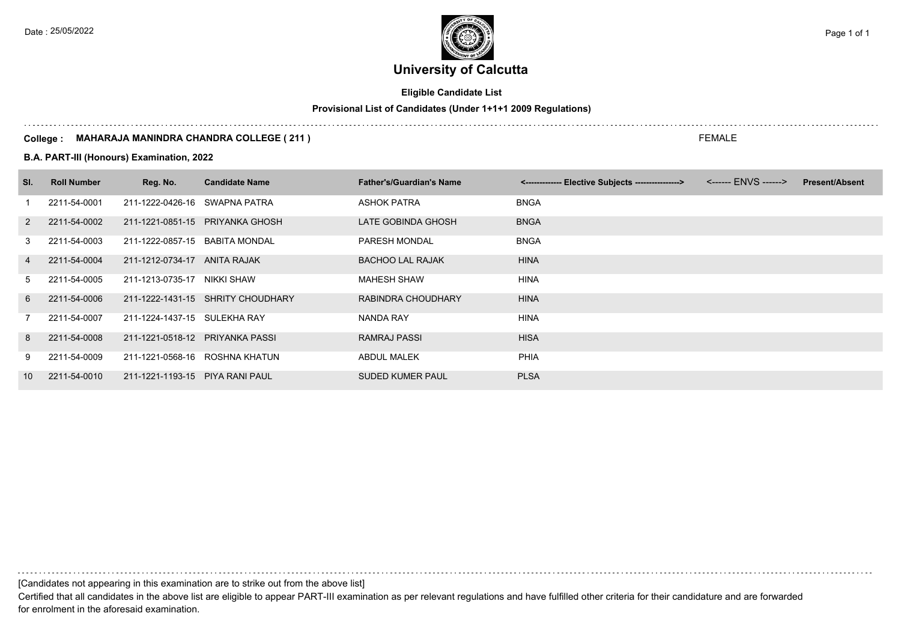## **Eligible Candidate List**

## **Provisional List of Candidates (Under 1+1+1 2009 Regulations)**

#### **College : MAHARAJA MANINDRA CHANDRA COLLEGE ( 211 )**

### **B.A. PART-III (Honours) Examination, 2022**

| SI.             | <b>Roll Number</b> | Reg. No.                        | <b>Candidate Name</b>             | <b>Father's/Guardian's Name</b> | <-------------- Elective Subjects ----------------> | <b>Present/Absent</b> |
|-----------------|--------------------|---------------------------------|-----------------------------------|---------------------------------|-----------------------------------------------------|-----------------------|
|                 | 2211-54-0001       | 211-1222-0426-16                | SWAPNA PATRA                      | ASHOK PATRA                     | <b>BNGA</b>                                         |                       |
| 2               | 2211-54-0002       |                                 | 211-1221-0851-15 PRIYANKA GHOSH   | LATE GOBINDA GHOSH              | <b>BNGA</b>                                         |                       |
| 3               | 2211-54-0003       | 211-1222-0857-15                | BABITA MONDAL                     | <b>PARESH MONDAL</b>            | <b>BNGA</b>                                         |                       |
| 4               | 2211-54-0004       | 211-1212-0734-17                | ANITA RAJAK                       | <b>BACHOO LAL RAJAK</b>         | <b>HINA</b>                                         |                       |
| 5               | 2211-54-0005       | 211-1213-0735-17                | NIKKI SHAW                        | <b>MAHESH SHAW</b>              | <b>HINA</b>                                         |                       |
| 6               | 2211-54-0006       |                                 | 211-1222-1431-15 SHRITY CHOUDHARY | RABINDRA CHOUDHARY              | <b>HINA</b>                                         |                       |
|                 | 2211-54-0007       | 211-1224-1437-15                | SULEKHA RAY                       | NANDA RAY                       | <b>HINA</b>                                         |                       |
| 8               | 2211-54-0008       | 211-1221-0518-12 PRIYANKA PASSI |                                   | RAMRAJ PASSI                    | <b>HISA</b>                                         |                       |
| 9               | 2211-54-0009       | 211-1221-0568-16                | ROSHNA KHATUN                     | ABDUL MALEK                     | <b>PHIA</b>                                         |                       |
| 10 <sup>1</sup> | 2211-54-0010       | 211-1221-1193-15 PIYA RANI PAUL |                                   | <b>SUDED KUMER PAUL</b>         | <b>PLSA</b>                                         |                       |

[Candidates not appearing in this examination are to strike out from the above list]

Certified that all candidates in the above list are eligible to appear PART-III examination as per relevant regulations and have fulfilled other criteria for their candidature and are forwarded for enrolment in the aforesaid examination.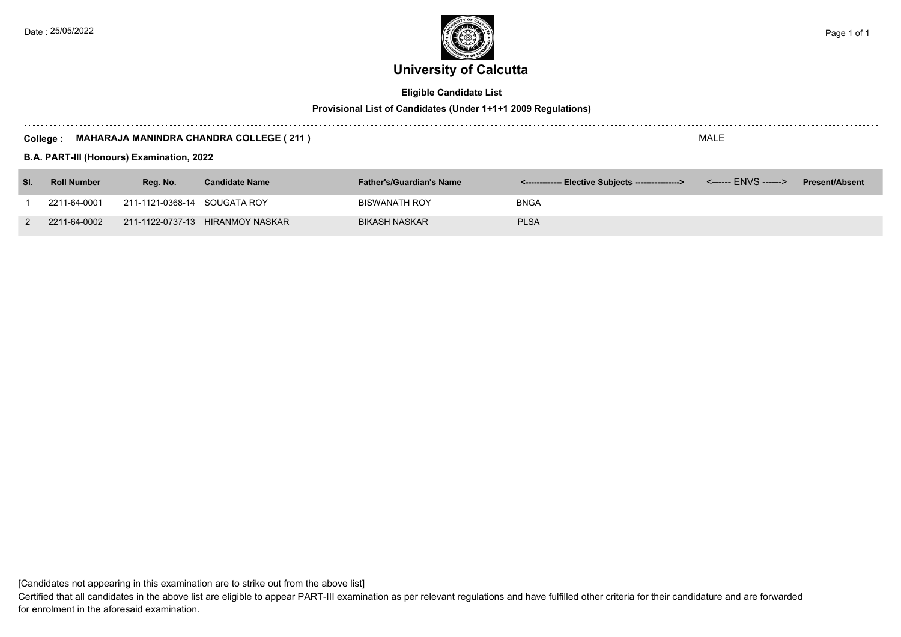

## **Eligible Candidate List**

## **Provisional List of Candidates (Under 1+1+1 2009 Regulations)**

#### **College : MAHARAJA MANINDRA CHANDRA COLLEGE ( 211 )**

**B.A. PART-III (Honours) Examination, 2022**

| SI. | <b>Roll Number</b> | Rea. No.                     | <b>Candidate Name</b>            | <b>Father's/Guardian's Name</b> | <-------------- Elective Subjects ----------------> | <b>Present/Absent</b> |
|-----|--------------------|------------------------------|----------------------------------|---------------------------------|-----------------------------------------------------|-----------------------|
|     | 2211-64-0001       | 211-1121-0368-14 SOUGATA ROY |                                  | <b>BISWANATH ROY</b>            | BNGA                                                |                       |
|     | 2211-64-0002       |                              | 211-1122-0737-13 HIRANMOY NASKAR | <b>BIKASH NASKAR</b>            | <b>PLSA</b>                                         |                       |

[Candidates not appearing in this examination are to strike out from the above list]

Certified that all candidates in the above list are eligible to appear PART-III examination as per relevant regulations and have fulfilled other criteria for their candidature and are forwarded for enrolment in the aforesaid examination.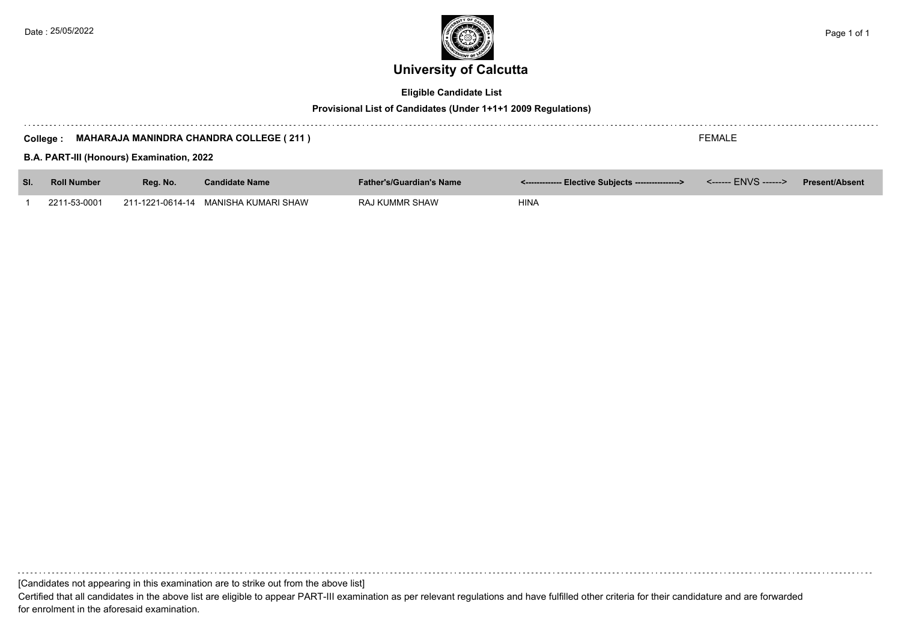

## **Eligible Candidate List**

## **Provisional List of Candidates (Under 1+1+1 2009 Regulations)**

| FEMALE<br><b>MAHARAJA MANINDRA CHANDRA COLLEGE (211)</b><br>College :<br>B.A. PART-III (Honours) Examination, 2022 |                    |          |                                      |                                 |                                                     |  |                       |
|--------------------------------------------------------------------------------------------------------------------|--------------------|----------|--------------------------------------|---------------------------------|-----------------------------------------------------|--|-----------------------|
| SI.                                                                                                                | <b>Roll Number</b> | Reg. No. | <b>Candidate Name</b>                | <b>Father's/Guardian's Name</b> | <-------------- Elective Subjects ----------------> |  | <b>Present/Absent</b> |
|                                                                                                                    | 2211-53-0001       |          | 211-1221-0614-14 MANISHA KUMARI SHAW | RAJ KUMMR SHAW                  | <b>HINA</b>                                         |  |                       |

[Candidates not appearing in this examination are to strike out from the above list]

Certified that all candidates in the above list are eligible to appear PART-III examination as per relevant regulations and have fulfilled other criteria for their candidature and are forwarded for enrolment in the aforesaid examination.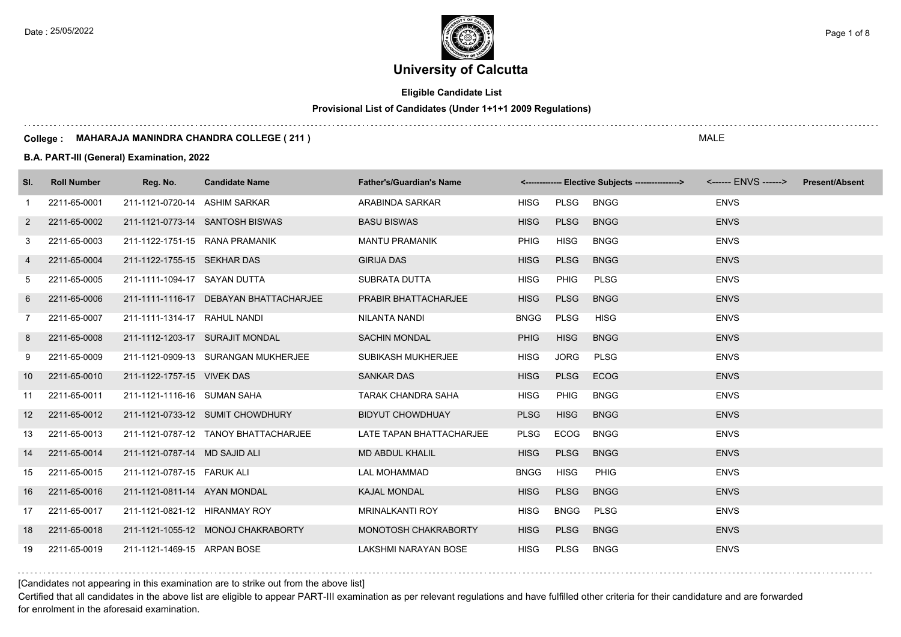**Eligible Candidate List**

**Provisional List of Candidates (Under 1+1+1 2009 Regulations)**

#### **College : MAHARAJA MANINDRA CHANDRA COLLEGE ( 211 )**

**B.A. PART-III (General) Examination, 2022**

| SI. | <b>Roll Number</b> | Reg. No.                      | <b>Candidate Name</b>                  | <b>Father's/Guardian's Name</b> |             |             | <------------- Elective Subjects ----------------> |             | <b>Present/Absent</b> |
|-----|--------------------|-------------------------------|----------------------------------------|---------------------------------|-------------|-------------|----------------------------------------------------|-------------|-----------------------|
| -1  | 2211-65-0001       | 211-1121-0720-14 ASHIM SARKAR |                                        | ARABINDA SARKAR                 | <b>HISG</b> | PLSG        | <b>BNGG</b>                                        | <b>ENVS</b> |                       |
| 2   | 2211-65-0002       |                               | 211-1121-0773-14 SANTOSH BISWAS        | <b>BASU BISWAS</b>              | <b>HISG</b> | <b>PLSG</b> | <b>BNGG</b>                                        | <b>ENVS</b> |                       |
| 3   | 2211-65-0003       |                               | 211-1122-1751-15 RANA PRAMANIK         | <b>MANTU PRAMANIK</b>           | <b>PHIG</b> | <b>HISG</b> | <b>BNGG</b>                                        | <b>ENVS</b> |                       |
| 4   | 2211-65-0004       | 211-1122-1755-15 SEKHAR DAS   |                                        | <b>GIRIJA DAS</b>               | <b>HISG</b> | <b>PLSG</b> | <b>BNGG</b>                                        | <b>ENVS</b> |                       |
| 5   | 2211-65-0005       | 211-1111-1094-17 SAYAN DUTTA  |                                        | SUBRATA DUTTA                   | <b>HISG</b> | <b>PHIG</b> | <b>PLSG</b>                                        | <b>ENVS</b> |                       |
| 6   | 2211-65-0006       |                               | 211-1111-1116-17 DEBAYAN BHATTACHARJEE | PRABIR BHATTACHARJEE            | <b>HISG</b> | <b>PLSG</b> | <b>BNGG</b>                                        | <b>ENVS</b> |                       |
| 7   | 2211-65-0007       | 211-1111-1314-17 RAHUL NANDI  |                                        | NILANTA NANDI                   | <b>BNGG</b> | <b>PLSG</b> | <b>HISG</b>                                        | <b>ENVS</b> |                       |
| 8   | 2211-65-0008       |                               | 211-1112-1203-17 SURAJIT MONDAL        | <b>SACHIN MONDAL</b>            | <b>PHIG</b> | <b>HISG</b> | <b>BNGG</b>                                        | <b>ENVS</b> |                       |
| 9   | 2211-65-0009       |                               | 211-1121-0909-13 SURANGAN MUKHERJEE    | SUBIKASH MUKHERJEE              | <b>HISG</b> | JORG        | <b>PLSG</b>                                        | <b>ENVS</b> |                       |
| 10  | 2211-65-0010       | 211-1122-1757-15 VIVEK DAS    |                                        | <b>SANKAR DAS</b>               | <b>HISG</b> | <b>PLSG</b> | <b>ECOG</b>                                        | <b>ENVS</b> |                       |
| 11  | 2211-65-0011       | 211-1121-1116-16 SUMAN SAHA   |                                        | TARAK CHANDRA SAHA              | <b>HISG</b> | <b>PHIG</b> | <b>BNGG</b>                                        | <b>ENVS</b> |                       |
| 12  | 2211-65-0012       |                               | 211-1121-0733-12 SUMIT CHOWDHURY       | <b>BIDYUT CHOWDHUAY</b>         | <b>PLSG</b> | <b>HISG</b> | <b>BNGG</b>                                        | <b>ENVS</b> |                       |
| 13  | 2211-65-0013       |                               | 211-1121-0787-12 TANOY BHATTACHARJEE   | LATE TAPAN BHATTACHARJEE        | PLSG        | ECOG        | <b>BNGG</b>                                        | <b>ENVS</b> |                       |
| 14  | 2211-65-0014       | 211-1121-0787-14 MD SAJID ALI |                                        | <b>MD ABDUL KHALIL</b>          | <b>HISG</b> | <b>PLSG</b> | <b>BNGG</b>                                        | <b>ENVS</b> |                       |
| 15  | 2211-65-0015       | 211-1121-0787-15 FARUK ALI    |                                        | LAL MOHAMMAD                    | <b>BNGG</b> | <b>HISG</b> | PHIG                                               | <b>ENVS</b> |                       |
| 16  | 2211-65-0016       | 211-1121-0811-14 AYAN MONDAL  |                                        | <b>KAJAL MONDAL</b>             | <b>HISG</b> | <b>PLSG</b> | <b>BNGG</b>                                        | <b>ENVS</b> |                       |
| 17  | 2211-65-0017       | 211-1121-0821-12 HIRANMAY ROY |                                        | <b>MRINALKANTI ROY</b>          | <b>HISG</b> | <b>BNGG</b> | <b>PLSG</b>                                        | <b>ENVS</b> |                       |
| 18  | 2211-65-0018       |                               | 211-1121-1055-12 MONOJ CHAKRABORTY     | MONOTOSH CHAKRABORTY            | <b>HISG</b> | <b>PLSG</b> | <b>BNGG</b>                                        | <b>ENVS</b> |                       |
| 19  | 2211-65-0019       | 211-1121-1469-15 ARPAN BOSE   |                                        | LAKSHMI NARAYAN BOSE            | <b>HISG</b> | PLSG        | <b>BNGG</b>                                        | <b>ENVS</b> |                       |

[Candidates not appearing in this examination are to strike out from the above list]

Certified that all candidates in the above list are eligible to appear PART-III examination as per relevant regulations and have fulfilled other criteria for their candidature and are forwarded for enrolment in the aforesaid examination.

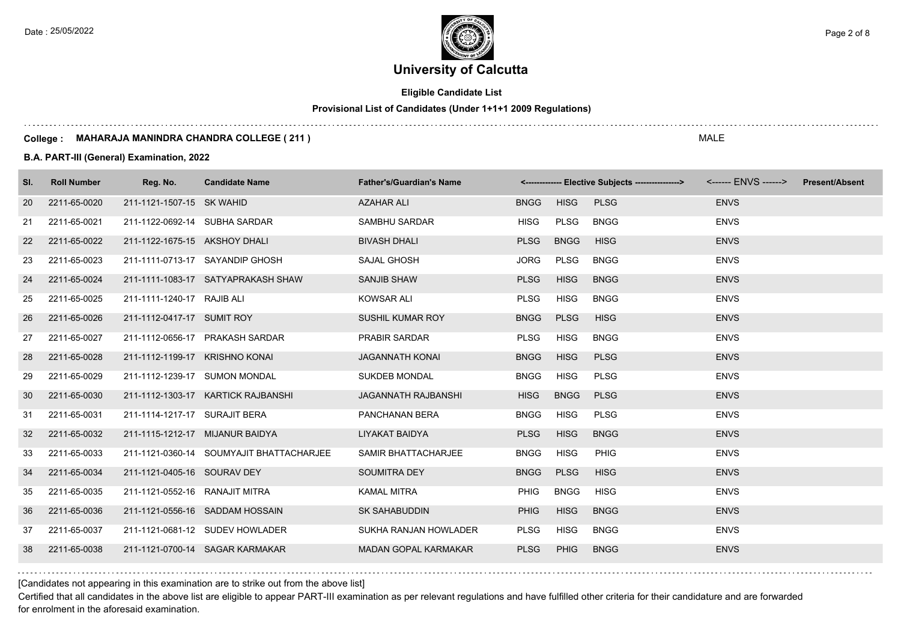Date : 25/05/2022 **Page 2 of 8** Page 2 of 8

# **University of Calcutta**

**Eligible Candidate List**

## **Provisional List of Candidates (Under 1+1+1 2009 Regulations)**

#### **College : MAHARAJA MANINDRA CHANDRA COLLEGE ( 211 )**

### **B.A. PART-III (General) Examination, 2022**

| SI. | <b>Roll Number</b> | Reg. No.                        | <b>Candidate Name</b>                    | <b>Father's/Guardian's Name</b> |             |             |             |             | <b>Present/Absent</b> |
|-----|--------------------|---------------------------------|------------------------------------------|---------------------------------|-------------|-------------|-------------|-------------|-----------------------|
| 20  | 2211-65-0020       | 211-1121-1507-15 SK WAHID       |                                          | <b>AZAHAR ALI</b>               | <b>BNGG</b> | <b>HISG</b> | <b>PLSG</b> | <b>ENVS</b> |                       |
| 21  | 2211-65-0021       | 211-1122-0692-14 SUBHA SARDAR   |                                          | SAMBHU SARDAR                   | <b>HISG</b> | PLSG        | <b>BNGG</b> | <b>ENVS</b> |                       |
| 22  | 2211-65-0022       | 211-1122-1675-15 AKSHOY DHALI   |                                          | <b>BIVASH DHALI</b>             | <b>PLSG</b> | <b>BNGG</b> | <b>HISG</b> | <b>ENVS</b> |                       |
| 23  | 2211-65-0023       |                                 | 211-1111-0713-17 SAYANDIP GHOSH          | SAJAL GHOSH                     | <b>JORG</b> | <b>PLSG</b> | <b>BNGG</b> | <b>ENVS</b> |                       |
| 24  | 2211-65-0024       |                                 | 211-1111-1083-17 SATYAPRAKASH SHAW       | <b>SANJIB SHAW</b>              | <b>PLSG</b> | <b>HISG</b> | <b>BNGG</b> | <b>ENVS</b> |                       |
| 25  | 2211-65-0025       | 211-1111-1240-17 RAJIB ALI      |                                          | <b>KOWSAR ALI</b>               | PLSG        | <b>HISG</b> | <b>BNGG</b> | <b>ENVS</b> |                       |
| 26  | 2211-65-0026       | 211-1112-0417-17 SUMIT ROY      |                                          | SUSHIL KUMAR ROY                | <b>BNGG</b> | <b>PLSG</b> | <b>HISG</b> | <b>ENVS</b> |                       |
| 27  | 2211-65-0027       |                                 | 211-1112-0656-17 PRAKASH SARDAR          | PRABIR SARDAR                   | <b>PLSG</b> | <b>HISG</b> | <b>BNGG</b> | <b>ENVS</b> |                       |
| 28  | 2211-65-0028       | 211-1112-1199-17 KRISHNO KONAI  |                                          | <b>JAGANNATH KONAI</b>          | <b>BNGG</b> | <b>HISG</b> | <b>PLSG</b> | <b>ENVS</b> |                       |
| 29  | 2211-65-0029       | 211-1112-1239-17 SUMON MONDAL   |                                          | <b>SUKDEB MONDAL</b>            | <b>BNGG</b> | <b>HISG</b> | <b>PLSG</b> | <b>ENVS</b> |                       |
| 30  | 2211-65-0030       |                                 | 211-1112-1303-17 KARTICK RAJBANSHI       | JAGANNATH RAJBANSHI             | <b>HISG</b> | <b>BNGG</b> | <b>PLSG</b> | <b>ENVS</b> |                       |
| 31  | 2211-65-0031       | 211-1114-1217-17 SURAJIT BERA   |                                          | PANCHANAN BERA                  | <b>BNGG</b> | <b>HISG</b> | <b>PLSG</b> | <b>ENVS</b> |                       |
| 32  | 2211-65-0032       | 211-1115-1212-17 MIJANUR BAIDYA |                                          | LIYAKAT BAIDYA                  | <b>PLSG</b> | <b>HISG</b> | <b>BNGG</b> | <b>ENVS</b> |                       |
| 33  | 2211-65-0033       |                                 | 211-1121-0360-14 SOUMYAJIT BHATTACHARJEE | SAMIR BHATTACHARJEE             | <b>BNGG</b> | <b>HISG</b> | PHIG        | <b>ENVS</b> |                       |
| 34  | 2211-65-0034       | 211-1121-0405-16 SOURAV DEY     |                                          | <b>SOUMITRA DEY</b>             | <b>BNGG</b> | <b>PLSG</b> | <b>HISG</b> | <b>ENVS</b> |                       |
| 35  | 2211-65-0035       | 211-1121-0552-16 RANAJIT MITRA  |                                          | <b>KAMAL MITRA</b>              | <b>PHIG</b> | <b>BNGG</b> | <b>HISG</b> | <b>ENVS</b> |                       |
| 36  | 2211-65-0036       |                                 | 211-1121-0556-16 SADDAM HOSSAIN          | <b>SK SAHABUDDIN</b>            | <b>PHIG</b> | <b>HISG</b> | <b>BNGG</b> | <b>ENVS</b> |                       |
| 37  | 2211-65-0037       |                                 | 211-1121-0681-12 SUDEV HOWLADER          | SUKHA RANJAN HOWLADER           | <b>PLSG</b> | <b>HISG</b> | <b>BNGG</b> | <b>ENVS</b> |                       |
| 38  | 2211-65-0038       |                                 | 211-1121-0700-14 SAGAR KARMAKAR          | <b>MADAN GOPAL KARMAKAR</b>     | <b>PLSG</b> | <b>PHIG</b> | <b>BNGG</b> | <b>ENVS</b> |                       |

[Candidates not appearing in this examination are to strike out from the above list]

Certified that all candidates in the above list are eligible to appear PART-III examination as per relevant regulations and have fulfilled other criteria for their candidature and are forwarded for enrolment in the aforesaid examination.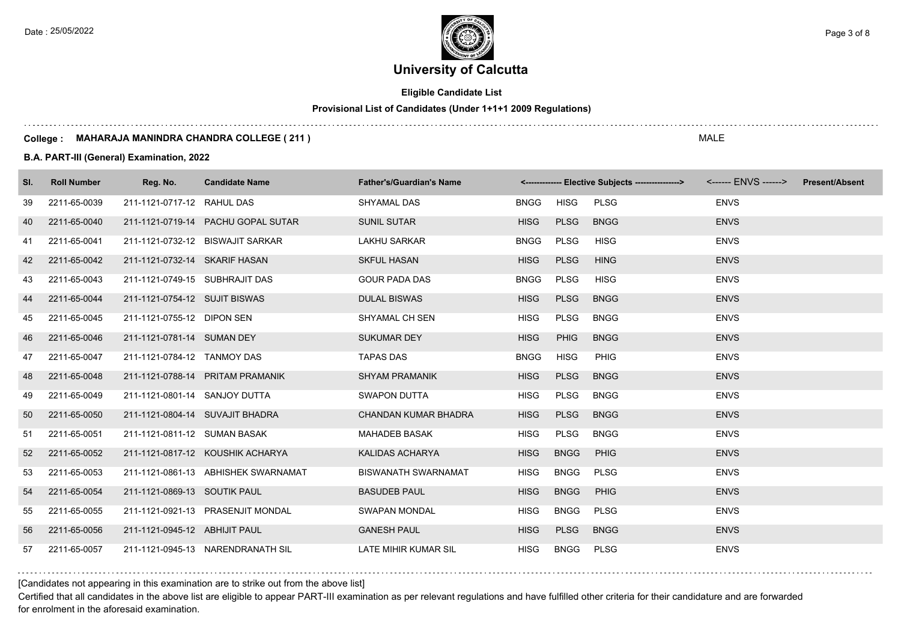Date : 25/05/2022 **Page 3 of 8**  $\leq$  Page 3 of 8

# **University of Calcutta**

**Eligible Candidate List**

## **Provisional List of Candidates (Under 1+1+1 2009 Regulations)**

#### **College : MAHARAJA MANINDRA CHANDRA COLLEGE ( 211 )**

### **B.A. PART-III (General) Examination, 2022**

| SI. | <b>Roll Number</b> | Reg. No.                       | <b>Candidate Name</b>               | <b>Father's/Guardian's Name</b> |             |             |             |             | <b>Present/Absent</b> |
|-----|--------------------|--------------------------------|-------------------------------------|---------------------------------|-------------|-------------|-------------|-------------|-----------------------|
| 39  | 2211-65-0039       | 211-1121-0717-12 RAHUL DAS     |                                     | <b>SHYAMAL DAS</b>              | <b>BNGG</b> | <b>HISG</b> | <b>PLSG</b> | <b>ENVS</b> |                       |
| 40  | 2211-65-0040       |                                | 211-1121-0719-14 PACHU GOPAL SUTAR  | <b>SUNIL SUTAR</b>              | <b>HISG</b> | <b>PLSG</b> | <b>BNGG</b> | <b>ENVS</b> |                       |
| 41  | 2211-65-0041       |                                | 211-1121-0732-12 BISWAJIT SARKAR    | <b>LAKHU SARKAR</b>             | <b>BNGG</b> | PLSG        | <b>HISG</b> | <b>ENVS</b> |                       |
| 42  | 2211-65-0042       | 211-1121-0732-14 SKARIF HASAN  |                                     | <b>SKFUL HASAN</b>              | <b>HISG</b> | <b>PLSG</b> | <b>HING</b> | <b>ENVS</b> |                       |
| 43  | 2211-65-0043       | 211-1121-0749-15 SUBHRAJIT DAS |                                     | <b>GOUR PADA DAS</b>            | <b>BNGG</b> | <b>PLSG</b> | <b>HISG</b> | <b>ENVS</b> |                       |
| 44  | 2211-65-0044       | 211-1121-0754-12 SUJIT BISWAS  |                                     | <b>DULAL BISWAS</b>             | <b>HISG</b> | <b>PLSG</b> | <b>BNGG</b> | <b>ENVS</b> |                       |
| 45  | 2211-65-0045       | 211-1121-0755-12 DIPON SEN     |                                     | SHYAMAL CH SEN                  | <b>HISG</b> | PLSG        | <b>BNGG</b> | <b>ENVS</b> |                       |
| 46  | 2211-65-0046       | 211-1121-0781-14 SUMAN DEY     |                                     | <b>SUKUMAR DEY</b>              | <b>HISG</b> | <b>PHIG</b> | <b>BNGG</b> | <b>ENVS</b> |                       |
| 47  | 2211-65-0047       | 211-1121-0784-12 TANMOY DAS    |                                     | <b>TAPAS DAS</b>                | <b>BNGG</b> | <b>HISG</b> | PHIG        | <b>ENVS</b> |                       |
| 48  | 2211-65-0048       |                                | 211-1121-0788-14 PRITAM PRAMANIK    | <b>SHYAM PRAMANIK</b>           | <b>HISG</b> | <b>PLSG</b> | <b>BNGG</b> | <b>ENVS</b> |                       |
| 49  | 2211-65-0049       | 211-1121-0801-14 SANJOY DUTTA  |                                     | <b>SWAPON DUTTA</b>             | <b>HISG</b> | PLSG        | <b>BNGG</b> | <b>ENVS</b> |                       |
| 50  | 2211-65-0050       |                                | 211-1121-0804-14 SUVAJIT BHADRA     | <b>CHANDAN KUMAR BHADRA</b>     | <b>HISG</b> | <b>PLSG</b> | <b>BNGG</b> | <b>ENVS</b> |                       |
| 51  | 2211-65-0051       | 211-1121-0811-12 SUMAN BASAK   |                                     | <b>MAHADEB BASAK</b>            | <b>HISG</b> | <b>PLSG</b> | <b>BNGG</b> | <b>ENVS</b> |                       |
| 52  | 2211-65-0052       |                                | 211-1121-0817-12 KOUSHIK ACHARYA    | KALIDAS ACHARYA                 | <b>HISG</b> | <b>BNGG</b> | <b>PHIG</b> | <b>ENVS</b> |                       |
| 53  | 2211-65-0053       |                                | 211-1121-0861-13 ABHISHEK SWARNAMAT | <b>BISWANATH SWARNAMAT</b>      | <b>HISG</b> | <b>BNGG</b> | <b>PLSG</b> | <b>ENVS</b> |                       |
| 54  | 2211-65-0054       | 211-1121-0869-13 SOUTIK PAUL   |                                     | <b>BASUDEB PAUL</b>             | <b>HISG</b> | <b>BNGG</b> | PHIG        | <b>ENVS</b> |                       |
| 55  | 2211-65-0055       |                                | 211-1121-0921-13 PRASENJIT MONDAL   | <b>SWAPAN MONDAL</b>            | <b>HISG</b> | <b>BNGG</b> | <b>PLSG</b> | <b>ENVS</b> |                       |
| 56  | 2211-65-0056       | 211-1121-0945-12 ABHIJIT PAUL  |                                     | <b>GANESH PAUL</b>              | <b>HISG</b> | PLSG        | <b>BNGG</b> | <b>ENVS</b> |                       |
| 57  | 2211-65-0057       |                                | 211-1121-0945-13 NARENDRANATH SIL   | LATE MIHIR KUMAR SIL            | <b>HISG</b> | <b>BNGG</b> | PLSG        | <b>ENVS</b> |                       |

[Candidates not appearing in this examination are to strike out from the above list]

Certified that all candidates in the above list are eligible to appear PART-III examination as per relevant regulations and have fulfilled other criteria for their candidature and are forwarded for enrolment in the aforesaid examination.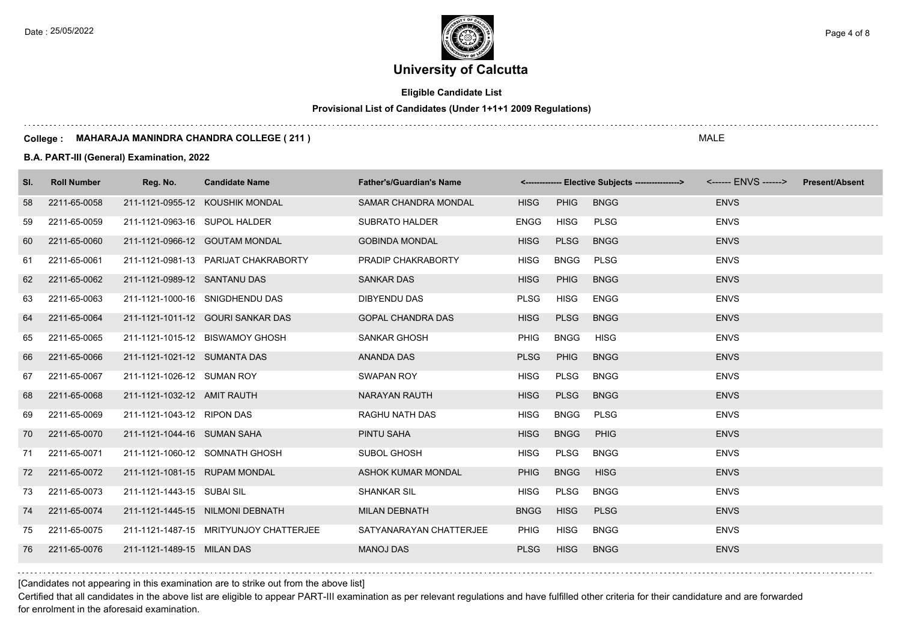Date : 25/05/2022 **Page 4 of 8**  $\leq$  Page 4 of 8

# **University of Calcutta**

## **Eligible Candidate List**

## **Provisional List of Candidates (Under 1+1+1 2009 Regulations)**

#### **College : MAHARAJA MANINDRA CHANDRA COLLEGE ( 211 )**

### **B.A. PART-III (General) Examination, 2022**

| SI. | <b>Roll Number</b> | Reg. No.                      | <b>Candidate Name</b>                  | <b>Father's/Guardian's Name</b> |             |             | <-------------- Elective Subjects ---------------> <------ ENVS ------> Present/Absent |             |  |
|-----|--------------------|-------------------------------|----------------------------------------|---------------------------------|-------------|-------------|----------------------------------------------------------------------------------------|-------------|--|
| 58  | 2211-65-0058       |                               | 211-1121-0955-12 KOUSHIK MONDAL        | SAMAR CHANDRA MONDAL            | <b>HISG</b> | <b>PHIG</b> | <b>BNGG</b>                                                                            | <b>ENVS</b> |  |
| 59  | 2211-65-0059       | 211-1121-0963-16 SUPOL HALDER |                                        | SUBRATO HALDER                  | ENGG        | HISG        | <b>PLSG</b>                                                                            | <b>ENVS</b> |  |
| 60  | 2211-65-0060       |                               | 211-1121-0966-12 GOUTAM MONDAL         | <b>GOBINDA MONDAL</b>           | <b>HISG</b> | <b>PLSG</b> | <b>BNGG</b>                                                                            | <b>ENVS</b> |  |
| 61  | 2211-65-0061       |                               | 211-1121-0981-13 PARIJAT CHAKRABORTY   | PRADIP CHAKRABORTY              | <b>HISG</b> | <b>BNGG</b> | PLSG                                                                                   | <b>ENVS</b> |  |
| 62  | 2211-65-0062       | 211-1121-0989-12 SANTANU DAS  |                                        | <b>SANKAR DAS</b>               | <b>HISG</b> | <b>PHIG</b> | <b>BNGG</b>                                                                            | <b>ENVS</b> |  |
| 63  | 2211-65-0063       |                               | 211-1121-1000-16 SNIGDHENDU DAS        | DIBYENDU DAS                    | <b>PLSG</b> | <b>HISG</b> | <b>ENGG</b>                                                                            | <b>ENVS</b> |  |
| 64  | 2211-65-0064       |                               | 211-1121-1011-12 GOURI SANKAR DAS      | <b>GOPAL CHANDRA DAS</b>        | <b>HISG</b> | <b>PLSG</b> | <b>BNGG</b>                                                                            | <b>ENVS</b> |  |
| 65  | 2211-65-0065       |                               | 211-1121-1015-12 BISWAMOY GHOSH        | <b>SANKAR GHOSH</b>             | <b>PHIG</b> | <b>BNGG</b> | <b>HISG</b>                                                                            | <b>ENVS</b> |  |
| 66  | 2211-65-0066       | 211-1121-1021-12 SUMANTA DAS  |                                        | ANANDA DAS                      | <b>PLSG</b> | <b>PHIG</b> | <b>BNGG</b>                                                                            | <b>ENVS</b> |  |
| 67  | 2211-65-0067       | 211-1121-1026-12 SUMAN ROY    |                                        | SWAPAN ROY                      | <b>HISG</b> | PLSG        | <b>BNGG</b>                                                                            | <b>ENVS</b> |  |
| 68  | 2211-65-0068       | 211-1121-1032-12 AMIT RAUTH   |                                        | NARAYAN RAUTH                   | <b>HISG</b> | <b>PLSG</b> | <b>BNGG</b>                                                                            | <b>ENVS</b> |  |
| 69  | 2211-65-0069       | 211-1121-1043-12 RIPON DAS    |                                        | RAGHU NATH DAS                  | <b>HISG</b> | <b>BNGG</b> | <b>PLSG</b>                                                                            | <b>ENVS</b> |  |
| 70  | 2211-65-0070       | 211-1121-1044-16 SUMAN SAHA   |                                        | PINTU SAHA                      | <b>HISG</b> | <b>BNGG</b> | PHIG                                                                                   | <b>ENVS</b> |  |
| 71  | 2211-65-0071       |                               | 211-1121-1060-12 SOMNATH GHOSH         | SUBOL GHOSH                     | <b>HISG</b> | PLSG        | <b>BNGG</b>                                                                            | <b>ENVS</b> |  |
| 72  | 2211-65-0072       | 211-1121-1081-15 RUPAM MONDAL |                                        | ASHOK KUMAR MONDAL              | <b>PHIG</b> | <b>BNGG</b> | <b>HISG</b>                                                                            | <b>ENVS</b> |  |
| 73  | 2211-65-0073       | 211-1121-1443-15 SUBAI SIL    |                                        | <b>SHANKAR SIL</b>              | <b>HISG</b> | <b>PLSG</b> | <b>BNGG</b>                                                                            | <b>ENVS</b> |  |
| 74  | 2211-65-0074       |                               | 211-1121-1445-15 NILMONI DEBNATH       | <b>MILAN DEBNATH</b>            | <b>BNGG</b> | <b>HISG</b> | <b>PLSG</b>                                                                            | <b>ENVS</b> |  |
| 75  | 2211-65-0075       |                               | 211-1121-1487-15 MRITYUNJOY CHATTERJEE | SATYANARAYAN CHATTERJEE         | <b>PHIG</b> | <b>HISG</b> | <b>BNGG</b>                                                                            | <b>ENVS</b> |  |
| 76  | 2211-65-0076       | 211-1121-1489-15 MILAN DAS    |                                        | <b>MANOJ DAS</b>                | <b>PLSG</b> | <b>HISG</b> | <b>BNGG</b>                                                                            | <b>ENVS</b> |  |

[Candidates not appearing in this examination are to strike out from the above list]

Certified that all candidates in the above list are eligible to appear PART-III examination as per relevant regulations and have fulfilled other criteria for their candidature and are forwarded for enrolment in the aforesaid examination.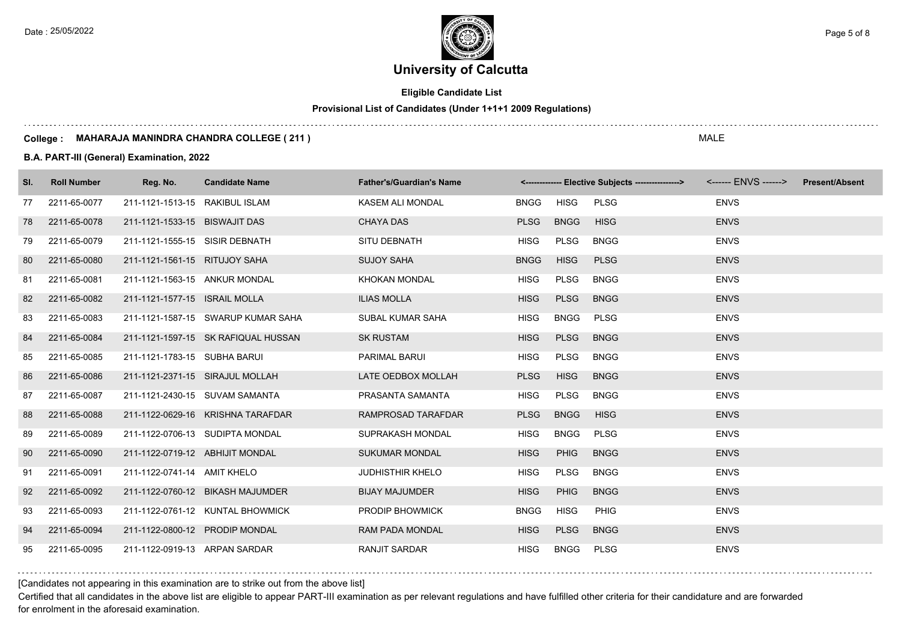**University of Calcutta**  Date : 25/05/2022 **Page 5 of 8**  $\epsilon$  Page 5 of 8

## **Eligible Candidate List**

## **Provisional List of Candidates (Under 1+1+1 2009 Regulations)**

#### **College : MAHARAJA MANINDRA CHANDRA COLLEGE ( 211 )**

### **B.A. PART-III (General) Examination, 2022**

| SI. | <b>Roll Number</b> | Reg. No.                        | <b>Candidate Name</b>               | <b>Father's/Guardian's Name</b> |             |             | <-------------- Elective Subjects ----------------> <------ ENVS ------> |             | <b>Present/Absent</b> |
|-----|--------------------|---------------------------------|-------------------------------------|---------------------------------|-------------|-------------|--------------------------------------------------------------------------|-------------|-----------------------|
| 77  | 2211-65-0077       | 211-1121-1513-15 RAKIBUL ISLAM  |                                     | KASEM ALI MONDAL                | <b>BNGG</b> | <b>HISG</b> | <b>PLSG</b>                                                              | <b>ENVS</b> |                       |
| 78  | 2211-65-0078       | 211-1121-1533-15 BISWAJIT DAS   |                                     | <b>CHAYA DAS</b>                | <b>PLSG</b> | <b>BNGG</b> | <b>HISG</b>                                                              | <b>ENVS</b> |                       |
| 79  | 2211-65-0079       | 211-1121-1555-15 SISIR DEBNATH  |                                     | SITU DEBNATH                    | <b>HISG</b> | PLSG        | <b>BNGG</b>                                                              | <b>ENVS</b> |                       |
| 80  | 2211-65-0080       | 211-1121-1561-15 RITUJOY SAHA   |                                     | <b>SUJOY SAHA</b>               | <b>BNGG</b> | <b>HISG</b> | <b>PLSG</b>                                                              | <b>ENVS</b> |                       |
| 81  | 2211-65-0081       | 211-1121-1563-15 ANKUR MONDAL   |                                     | <b>KHOKAN MONDAL</b>            | <b>HISG</b> | PLSG        | <b>BNGG</b>                                                              | <b>ENVS</b> |                       |
| 82  | 2211-65-0082       | 211-1121-1577-15 ISRAIL MOLLA   |                                     | <b>ILIAS MOLLA</b>              | <b>HISG</b> | <b>PLSG</b> | <b>BNGG</b>                                                              | <b>ENVS</b> |                       |
| 83  | 2211-65-0083       |                                 | 211-1121-1587-15 SWARUP KUMAR SAHA  | SUBAL KUMAR SAHA                | <b>HISG</b> | <b>BNGG</b> | PLSG                                                                     | <b>ENVS</b> |                       |
| 84  | 2211-65-0084       |                                 | 211-1121-1597-15 SK RAFIQUAL HUSSAN | <b>SK RUSTAM</b>                | <b>HISG</b> | <b>PLSG</b> | <b>BNGG</b>                                                              | <b>ENVS</b> |                       |
| 85  | 2211-65-0085       | 211-1121-1783-15 SUBHA BARUI    |                                     | PARIMAL BARUI                   | <b>HISG</b> | PLSG        | <b>BNGG</b>                                                              | <b>ENVS</b> |                       |
| 86  | 2211-65-0086       |                                 | 211-1121-2371-15 SIRAJUL MOLLAH     | LATE OEDBOX MOLLAH              | <b>PLSG</b> | <b>HISG</b> | <b>BNGG</b>                                                              | <b>ENVS</b> |                       |
| 87  | 2211-65-0087       |                                 | 211-1121-2430-15 SUVAM SAMANTA      | PRASANTA SAMANTA                | <b>HISG</b> | PLSG        | <b>BNGG</b>                                                              | <b>ENVS</b> |                       |
| 88  | 2211-65-0088       |                                 | 211-1122-0629-16 KRISHNA TARAFDAR   | RAMPROSAD TARAFDAR              | <b>PLSG</b> | <b>BNGG</b> | <b>HISG</b>                                                              | <b>ENVS</b> |                       |
| 89  | 2211-65-0089       |                                 | 211-1122-0706-13 SUDIPTA MONDAL     | SUPRAKASH MONDAL                | <b>HISG</b> | <b>BNGG</b> | <b>PLSG</b>                                                              | <b>ENVS</b> |                       |
| 90  | 2211-65-0090       | 211-1122-0719-12 ABHIJIT MONDAL |                                     | <b>SUKUMAR MONDAL</b>           | <b>HISG</b> | <b>PHIG</b> | <b>BNGG</b>                                                              | <b>ENVS</b> |                       |
| 91  | 2211-65-0091       | 211-1122-0741-14 AMIT KHELO     |                                     | <b>JUDHISTHIR KHELO</b>         | <b>HISG</b> | PLSG        | <b>BNGG</b>                                                              | <b>ENVS</b> |                       |
| 92  | 2211-65-0092       |                                 | 211-1122-0760-12 BIKASH MAJUMDER    | <b>BIJAY MAJUMDER</b>           | <b>HISG</b> | PHIG        | <b>BNGG</b>                                                              | <b>ENVS</b> |                       |
| 93  | 2211-65-0093       |                                 | 211-1122-0761-12 KUNTAL BHOWMICK    | <b>PRODIP BHOWMICK</b>          | <b>BNGG</b> | <b>HISG</b> | <b>PHIG</b>                                                              | <b>ENVS</b> |                       |
| 94  | 2211-65-0094       | 211-1122-0800-12 PRODIP MONDAL  |                                     | <b>RAM PADA MONDAL</b>          | <b>HISG</b> | <b>PLSG</b> | <b>BNGG</b>                                                              | <b>ENVS</b> |                       |
| 95  | 2211-65-0095       | 211-1122-0919-13 ARPAN SARDAR   |                                     | <b>RANJIT SARDAR</b>            | <b>HISG</b> | <b>BNGG</b> | <b>PLSG</b>                                                              | <b>ENVS</b> |                       |

[Candidates not appearing in this examination are to strike out from the above list]

Certified that all candidates in the above list are eligible to appear PART-III examination as per relevant regulations and have fulfilled other criteria for their candidature and are forwarded for enrolment in the aforesaid examination.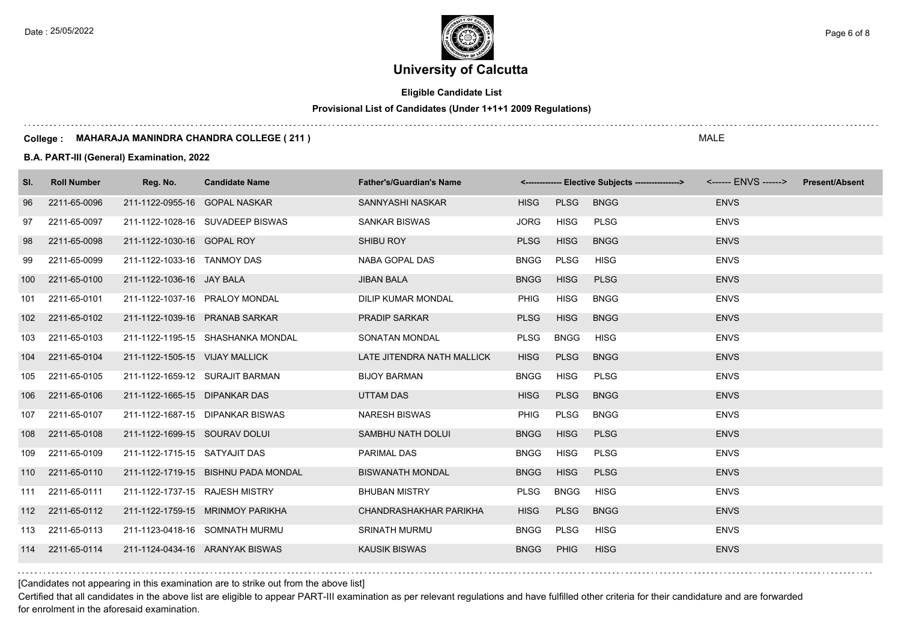Date : 25/05/2022 **Page 6 of 8**  $\leq$  Page 6 of 8

# **University of Calcutta**

**Eligible Candidate List**

## **Provisional List of Candidates (Under 1+1+1 2009 Regulations)**

#### **College : MAHARAJA MANINDRA CHANDRA COLLEGE ( 211 )**

### **B.A. PART-III (General) Examination, 2022**

| SI.              | <b>Roll Number</b> | Reg. No.                       | <b>Candidate Name</b>               | <b>Father's/Guardian's Name</b> |             |             | <------------- Elective Subjects ----------------> |             | <b>Present/Absent</b> |
|------------------|--------------------|--------------------------------|-------------------------------------|---------------------------------|-------------|-------------|----------------------------------------------------|-------------|-----------------------|
| 96               | 2211-65-0096       | 211-1122-0955-16 GOPAL NASKAR  |                                     | SANNYASHI NASKAR                | <b>HISG</b> | <b>PLSG</b> | <b>BNGG</b>                                        | <b>ENVS</b> |                       |
| 97               | 2211-65-0097       |                                | 211-1122-1028-16 SUVADEEP BISWAS    | <b>SANKAR BISWAS</b>            | <b>JORG</b> | <b>HISG</b> | <b>PLSG</b>                                        | <b>ENVS</b> |                       |
| 98               | 2211-65-0098       | 211-1122-1030-16 GOPAL ROY     |                                     | SHIBU ROY                       | <b>PLSG</b> | <b>HISG</b> | <b>BNGG</b>                                        | <b>ENVS</b> |                       |
| 99               | 2211-65-0099       | 211-1122-1033-16 TANMOY DAS    |                                     | NABA GOPAL DAS                  | <b>BNGG</b> | <b>PLSG</b> | <b>HISG</b>                                        | <b>ENVS</b> |                       |
| 100              | 2211-65-0100       | 211-1122-1036-16 JAY BALA      |                                     | <b>JIBAN BALA</b>               | <b>BNGG</b> | <b>HISG</b> | <b>PLSG</b>                                        | <b>ENVS</b> |                       |
| 101              | 2211-65-0101       | 211-1122-1037-16 PRALOY MONDAL |                                     | DILIP KUMAR MONDAL              | <b>PHIG</b> | <b>HISG</b> | <b>BNGG</b>                                        | <b>ENVS</b> |                       |
| 102 <sub>2</sub> | 2211-65-0102       | 211-1122-1039-16 PRANAB SARKAR |                                     | <b>PRADIP SARKAR</b>            | <b>PLSG</b> | <b>HISG</b> | <b>BNGG</b>                                        | <b>ENVS</b> |                       |
| 103              | 2211-65-0103       |                                | 211-1122-1195-15 SHASHANKA MONDAL   | SONATAN MONDAL                  | <b>PLSG</b> | <b>BNGG</b> | <b>HISG</b>                                        | <b>ENVS</b> |                       |
| 104              | 2211-65-0104       | 211-1122-1505-15 VIJAY MALLICK |                                     | LATE JITENDRA NATH MALLICK      | <b>HISG</b> | <b>PLSG</b> | <b>BNGG</b>                                        | <b>ENVS</b> |                       |
| 105              | 2211-65-0105       |                                | 211-1122-1659-12 SURAJIT BARMAN     | <b>BIJOY BARMAN</b>             | <b>BNGG</b> | <b>HISG</b> | <b>PLSG</b>                                        | <b>ENVS</b> |                       |
| 106              | 2211-65-0106       | 211-1122-1665-15 DIPANKAR DAS  |                                     | UTTAM DAS                       | <b>HISG</b> | <b>PLSG</b> | <b>BNGG</b>                                        | <b>ENVS</b> |                       |
| 107              | 2211-65-0107       |                                | 211-1122-1687-15 DIPANKAR BISWAS    | <b>NARESH BISWAS</b>            | <b>PHIG</b> | <b>PLSG</b> | <b>BNGG</b>                                        | <b>ENVS</b> |                       |
| 108              | 2211-65-0108       | 211-1122-1699-15 SOURAV DOLUI  |                                     | SAMBHU NATH DOLUI               | <b>BNGG</b> | <b>HISG</b> | <b>PLSG</b>                                        | <b>ENVS</b> |                       |
| 109              | 2211-65-0109       | 211-1122-1715-15 SATYAJIT DAS  |                                     | <b>PARIMAL DAS</b>              | <b>BNGG</b> | <b>HISG</b> | <b>PLSG</b>                                        | <b>ENVS</b> |                       |
|                  | 110 2211-65-0110   |                                | 211-1122-1719-15 BISHNU PADA MONDAL | <b>BISWANATH MONDAL</b>         | <b>BNGG</b> | <b>HISG</b> | <b>PLSG</b>                                        | <b>ENVS</b> |                       |
| 111              | 2211-65-0111       | 211-1122-1737-15 RAJESH MISTRY |                                     | <b>BHUBAN MISTRY</b>            | <b>PLSG</b> | <b>BNGG</b> | <b>HISG</b>                                        | <b>ENVS</b> |                       |
|                  | 112 2211-65-0112   |                                | 211-1122-1759-15 MRINMOY PARIKHA    | CHANDRASHAKHAR PARIKHA          | <b>HISG</b> | <b>PLSG</b> | <b>BNGG</b>                                        | <b>ENVS</b> |                       |
| 113              | 2211-65-0113       |                                | 211-1123-0418-16 SOMNATH MURMU      | <b>SRINATH MURMU</b>            | <b>BNGG</b> | <b>PLSG</b> | <b>HISG</b>                                        | <b>ENVS</b> |                       |
|                  | 114 2211-65-0114   |                                | 211-1124-0434-16 ARANYAK BISWAS     | <b>KAUSIK BISWAS</b>            | <b>BNGG</b> | <b>PHIG</b> | <b>HISG</b>                                        | <b>ENVS</b> |                       |

[Candidates not appearing in this examination are to strike out from the above list]

Certified that all candidates in the above list are eligible to appear PART-III examination as per relevant regulations and have fulfilled other criteria for their candidature and are forwarded for enrolment in the aforesaid examination.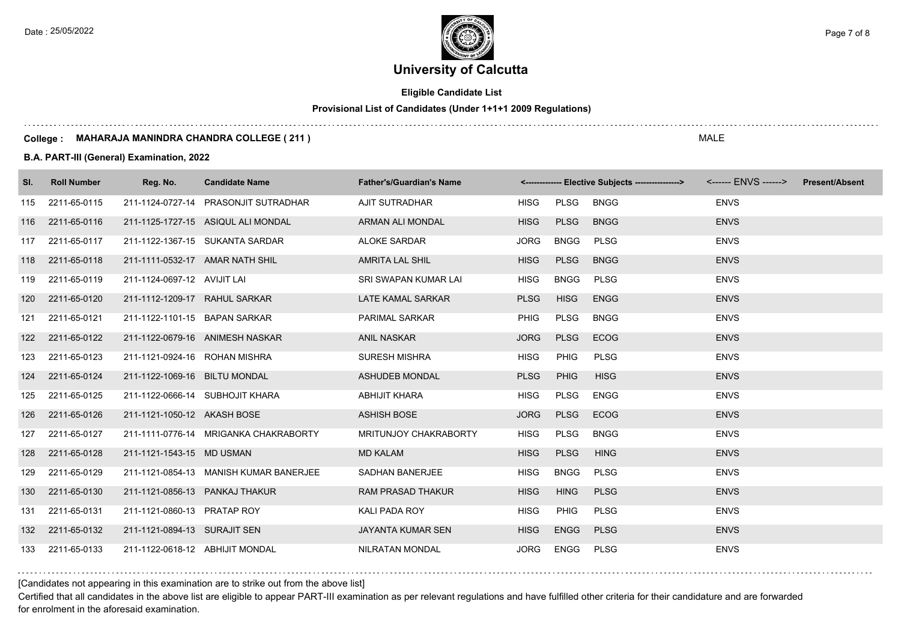Date : 25/05/2022 **Page 7 of 8** Page 7 of 8

# **University of Calcutta**

## **Eligible Candidate List**

## **Provisional List of Candidates (Under 1+1+1 2009 Regulations)**

#### **College : MAHARAJA MANINDRA CHANDRA COLLEGE ( 211 )**

### **B.A. PART-III (General) Examination, 2022**

| SI. | <b>Roll Number</b> | Reg. No.                        | <b>Candidate Name</b>                  | <b>Father's/Guardian's Name</b> |             |             | <------------- Elective Subjects ----------------> | <------ ENVS ------> Present/Absent |  |
|-----|--------------------|---------------------------------|----------------------------------------|---------------------------------|-------------|-------------|----------------------------------------------------|-------------------------------------|--|
| 115 | 2211-65-0115       |                                 | 211-1124-0727-14 PRASONJIT SUTRADHAR   | AJIT SUTRADHAR                  | <b>HISG</b> | PLSG        | <b>BNGG</b>                                        | <b>ENVS</b>                         |  |
|     | 116 2211-65-0116   |                                 | 211-1125-1727-15 ASIQUL ALI MONDAL     | ARMAN ALI MONDAL                | <b>HISG</b> | <b>PLSG</b> | <b>BNGG</b>                                        | <b>ENVS</b>                         |  |
| 117 | 2211-65-0117       |                                 | 211-1122-1367-15 SUKANTA SARDAR        | <b>ALOKE SARDAR</b>             | <b>JORG</b> | <b>BNGG</b> | <b>PLSG</b>                                        | <b>ENVS</b>                         |  |
| 118 | 2211-65-0118       | 211-1111-0532-17 AMAR NATH SHIL |                                        | <b>AMRITA LAL SHIL</b>          | <b>HISG</b> | <b>PLSG</b> | <b>BNGG</b>                                        | <b>ENVS</b>                         |  |
| 119 | 2211-65-0119       | 211-1124-0697-12 AVIJIT LAI     |                                        | SRI SWAPAN KUMAR LAI            | <b>HISG</b> | <b>BNGG</b> | <b>PLSG</b>                                        | <b>ENVS</b>                         |  |
| 120 | 2211-65-0120       | 211-1112-1209-17 RAHUL SARKAR   |                                        | LATE KAMAL SARKAR               | <b>PLSG</b> | <b>HISG</b> | <b>ENGG</b>                                        | <b>ENVS</b>                         |  |
| 121 | 2211-65-0121       | 211-1122-1101-15 BAPAN SARKAR   |                                        | <b>PARIMAL SARKAR</b>           | <b>PHIG</b> | PLSG        | <b>BNGG</b>                                        | <b>ENVS</b>                         |  |
| 122 | 2211-65-0122       |                                 | 211-1122-0679-16 ANIMESH NASKAR        | <b>ANIL NASKAR</b>              | <b>JORG</b> | <b>PLSG</b> | <b>ECOG</b>                                        | <b>ENVS</b>                         |  |
| 123 | 2211-65-0123       | 211-1121-0924-16 ROHAN MISHRA   |                                        | <b>SURESH MISHRA</b>            | <b>HISG</b> | <b>PHIG</b> | <b>PLSG</b>                                        | <b>ENVS</b>                         |  |
| 124 | 2211-65-0124       | 211-1122-1069-16 BILTU MONDAL   |                                        | <b>ASHUDEB MONDAL</b>           | <b>PLSG</b> | <b>PHIG</b> | <b>HISG</b>                                        | <b>ENVS</b>                         |  |
| 125 | 2211-65-0125       |                                 | 211-1122-0666-14 SUBHOJIT KHARA        | <b>ABHIJIT KHARA</b>            | <b>HISG</b> | PLSG        | ENGG                                               | <b>ENVS</b>                         |  |
| 126 | 2211-65-0126       | 211-1121-1050-12 AKASH BOSE     |                                        | <b>ASHISH BOSE</b>              | <b>JORG</b> | <b>PLSG</b> | <b>ECOG</b>                                        | <b>ENVS</b>                         |  |
| 127 | 2211-65-0127       |                                 | 211-1111-0776-14 MRIGANKA CHAKRABORTY  | MRITUNJOY CHAKRABORTY           | <b>HISG</b> | <b>PLSG</b> | <b>BNGG</b>                                        | <b>ENVS</b>                         |  |
| 128 | 2211-65-0128       | 211-1121-1543-15 MD USMAN       |                                        | <b>MD KALAM</b>                 | <b>HISG</b> | <b>PLSG</b> | <b>HING</b>                                        | <b>ENVS</b>                         |  |
| 129 | 2211-65-0129       |                                 | 211-1121-0854-13 MANISH KUMAR BANERJEE | SADHAN BANERJEE                 | <b>HISG</b> | <b>BNGG</b> | <b>PLSG</b>                                        | <b>ENVS</b>                         |  |
| 130 | 2211-65-0130       | 211-1121-0856-13 PANKAJ THAKUR  |                                        | <b>RAM PRASAD THAKUR</b>        | <b>HISG</b> | <b>HING</b> | <b>PLSG</b>                                        | <b>ENVS</b>                         |  |
| 131 | 2211-65-0131       | 211-1121-0860-13 PRATAP ROY     |                                        | KALI PADA ROY                   | <b>HISG</b> | <b>PHIG</b> | <b>PLSG</b>                                        | <b>ENVS</b>                         |  |
| 132 | 2211-65-0132       | 211-1121-0894-13 SURAJIT SEN    |                                        | JAYANTA KUMAR SEN               | <b>HISG</b> | <b>ENGG</b> | <b>PLSG</b>                                        | <b>ENVS</b>                         |  |
|     | 133 2211-65-0133   | 211-1122-0618-12 ABHIJIT MONDAL |                                        | NILRATAN MONDAL                 | <b>JORG</b> | ENGG        | PLSG                                               | <b>ENVS</b>                         |  |

### [Candidates not appearing in this examination are to strike out from the above list]

Certified that all candidates in the above list are eligible to appear PART-III examination as per relevant regulations and have fulfilled other criteria for their candidature and are forwarded for enrolment in the aforesaid examination.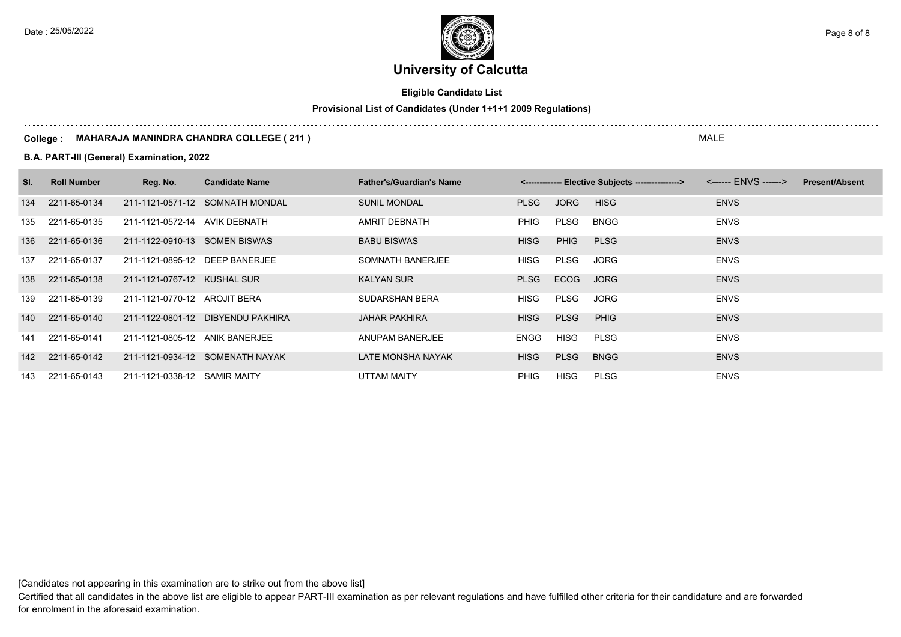Date : 25/05/2022 **Page 8 of 8**  $\leq$  Page 8 of 8

# **University of Calcutta**

## **Eligible Candidate List**

## **Provisional List of Candidates (Under 1+1+1 2009 Regulations)**

#### **College : MAHARAJA MANINDRA CHANDRA COLLEGE ( 211 )**

### **B.A. PART-III (General) Examination, 2022**

| SI. | <b>Roll Number</b> | Reg. No.                       | <b>Candidate Name</b>             | <b>Father's/Guardian's Name</b> |             |             | <-------------- Elective Subjects ----------------> |             | <b>Present/Absent</b> |
|-----|--------------------|--------------------------------|-----------------------------------|---------------------------------|-------------|-------------|-----------------------------------------------------|-------------|-----------------------|
| 134 | 2211-65-0134       |                                | 211-1121-0571-12 SOMNATH MONDAL   | <b>SUNIL MONDAL</b>             | <b>PLSG</b> | <b>JORG</b> | <b>HISG</b>                                         | <b>ENVS</b> |                       |
|     | 135 2211-65-0135   | 211-1121-0572-14 AVIK DEBNATH  |                                   | AMRIT DEBNATH                   | PHIG        | PLSG        | BNGG                                                | <b>ENVS</b> |                       |
|     | 136 2211-65-0136   | 211-1122-0910-13 SOMEN BISWAS  |                                   | <b>BABU BISWAS</b>              | <b>HISG</b> | <b>PHIG</b> | <b>PLSG</b>                                         | <b>ENVS</b> |                       |
|     | 137 2211-65-0137   | 211-1121-0895-12 DEEP BANERJEE |                                   | SOMNATH BANERJEE                | <b>HISG</b> | PLSG        | <b>JORG</b>                                         | <b>ENVS</b> |                       |
| 138 | 2211-65-0138       | 211-1121-0767-12 KUSHAL SUR    |                                   | <b>KALYAN SUR</b>               | <b>PLSG</b> | <b>ECOG</b> | <b>JORG</b>                                         | <b>ENVS</b> |                       |
| 139 | 2211-65-0139       | 211-1121-0770-12 AROJIT BERA   |                                   | SUDARSHAN BERA                  | <b>HISG</b> | PLSG        | <b>JORG</b>                                         | <b>ENVS</b> |                       |
|     | 140 2211-65-0140   |                                | 211-1122-0801-12 DIBYENDU PAKHIRA | <b>JAHAR PAKHIRA</b>            | <b>HISG</b> | <b>PLSG</b> | <b>PHIG</b>                                         | <b>ENVS</b> |                       |
|     | 141 2211-65-0141   | 211-1121-0805-12 ANIK BANERJEE |                                   | ANUPAM BANERJEE                 | <b>ENGG</b> | <b>HISG</b> | <b>PLSG</b>                                         | <b>ENVS</b> |                       |
|     | 142 2211-65-0142   |                                | 211-1121-0934-12 SOMENATH NAYAK   | LATE MONSHA NAYAK               | <b>HISG</b> | <b>PLSG</b> | <b>BNGG</b>                                         | <b>ENVS</b> |                       |
|     | 143 2211-65-0143   | 211-1121-0338-12 SAMIR MAITY   |                                   | UTTAM MAITY                     | <b>PHIG</b> | HISG        | <b>PLSG</b>                                         | <b>ENVS</b> |                       |

[Candidates not appearing in this examination are to strike out from the above list]

Certified that all candidates in the above list are eligible to appear PART-III examination as per relevant regulations and have fulfilled other criteria for their candidature and are forwarded for enrolment in the aforesaid examination.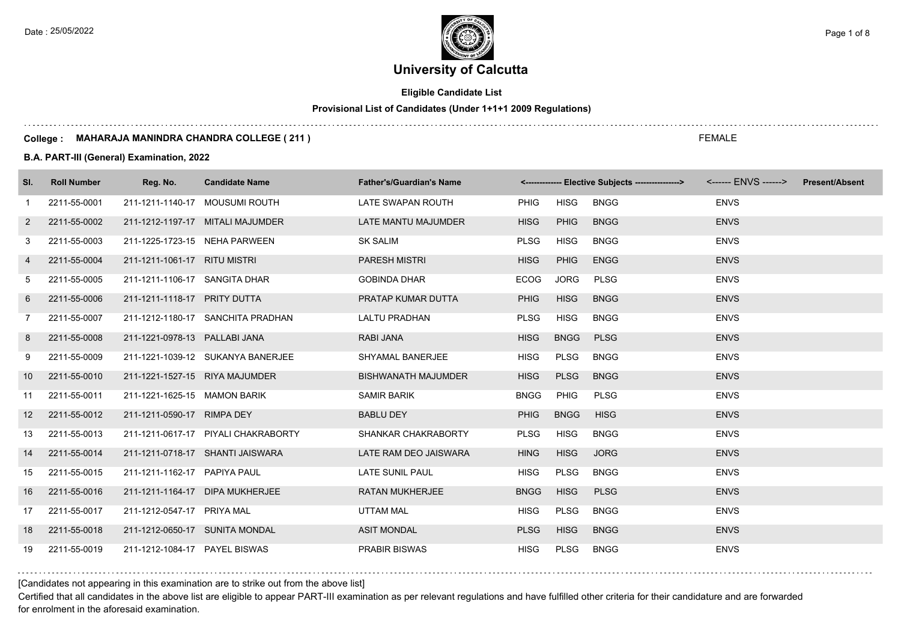**Eligible Candidate List**

**Provisional List of Candidates (Under 1+1+1 2009 Regulations)**

#### **College : MAHARAJA MANINDRA CHANDRA COLLEGE ( 211 )**

**B.A. PART-III (General) Examination, 2022**

| SI.             | <b>Roll Number</b> | Reg. No.                       | <b>Candidate Name</b>               | <b>Father's/Guardian's Name</b> |             |             | <-------------- Elective Subjects ---------------> <------ ENVS ------> Present/Absent |             |  |
|-----------------|--------------------|--------------------------------|-------------------------------------|---------------------------------|-------------|-------------|----------------------------------------------------------------------------------------|-------------|--|
| $\mathbf{1}$    | 2211-55-0001       |                                | 211-1211-1140-17 MOUSUMI ROUTH      | LATE SWAPAN ROUTH               | PHIG        | <b>HISG</b> | <b>BNGG</b>                                                                            | <b>ENVS</b> |  |
| 2               | 2211-55-0002       |                                | 211-1212-1197-17 MITALI MAJUMDER    | LATE MANTU MAJUMDER             | <b>HISG</b> | <b>PHIG</b> | <b>BNGG</b>                                                                            | <b>ENVS</b> |  |
| 3               | 2211-55-0003       | 211-1225-1723-15 NEHA PARWEEN  |                                     | <b>SK SALIM</b>                 | <b>PLSG</b> | <b>HISG</b> | <b>BNGG</b>                                                                            | <b>ENVS</b> |  |
| 4               | 2211-55-0004       | 211-1211-1061-17 RITU MISTRI   |                                     | <b>PARESH MISTRI</b>            | <b>HISG</b> | <b>PHIG</b> | <b>ENGG</b>                                                                            | <b>ENVS</b> |  |
| 5               | 2211-55-0005       | 211-1211-1106-17 SANGITA DHAR  |                                     | <b>GOBINDA DHAR</b>             | <b>ECOG</b> | JORG        | <b>PLSG</b>                                                                            | <b>ENVS</b> |  |
| 6               | 2211-55-0006       | 211-1211-1118-17 PRITY DUTTA   |                                     | PRATAP KUMAR DUTTA              | <b>PHIG</b> | <b>HISG</b> | <b>BNGG</b>                                                                            | <b>ENVS</b> |  |
| 7               | 2211-55-0007       |                                | 211-1212-1180-17 SANCHITA PRADHAN   | LALTU PRADHAN                   | <b>PLSG</b> | <b>HISG</b> | <b>BNGG</b>                                                                            | <b>ENVS</b> |  |
| 8               | 2211-55-0008       | 211-1221-0978-13 PALLABI JANA  |                                     | RABI JANA                       | <b>HISG</b> | <b>BNGG</b> | <b>PLSG</b>                                                                            | <b>ENVS</b> |  |
| 9               | 2211-55-0009       |                                | 211-1221-1039-12 SUKANYA BANERJEE   | SHYAMAL BANERJEE                | <b>HISG</b> | <b>PLSG</b> | <b>BNGG</b>                                                                            | <b>ENVS</b> |  |
| 10 <sup>°</sup> | 2211-55-0010       | 211-1221-1527-15 RIYA MAJUMDER |                                     | <b>BISHWANATH MAJUMDER</b>      | <b>HISG</b> | <b>PLSG</b> | <b>BNGG</b>                                                                            | <b>ENVS</b> |  |
| 11              | 2211-55-0011       | 211-1221-1625-15 MAMON BARIK   |                                     | SAMIR BARIK                     | <b>BNGG</b> | PHIG        | <b>PLSG</b>                                                                            | <b>ENVS</b> |  |
| 12 <sup>2</sup> | 2211-55-0012       | 211-1211-0590-17 RIMPA DEY     |                                     | <b>BABLU DEY</b>                | <b>PHIG</b> | <b>BNGG</b> | <b>HISG</b>                                                                            | <b>ENVS</b> |  |
| 13              | 2211-55-0013       |                                | 211-1211-0617-17 PIYALI CHAKRABORTY | SHANKAR CHAKRABORTY             | <b>PLSG</b> | <b>HISG</b> | <b>BNGG</b>                                                                            | <b>ENVS</b> |  |
| 14              | 2211-55-0014       |                                | 211-1211-0718-17 SHANTI JAISWARA    | LATE RAM DEO JAISWARA           | <b>HING</b> | <b>HISG</b> | <b>JORG</b>                                                                            | <b>ENVS</b> |  |
| 15              | 2211-55-0015       | 211-1211-1162-17 PAPIYA PAUL   |                                     | <b>LATE SUNIL PAUL</b>          | <b>HISG</b> | <b>PLSG</b> | <b>BNGG</b>                                                                            | <b>ENVS</b> |  |
| 16              | 2211-55-0016       |                                | 211-1211-1164-17 DIPA MUKHERJEE     | <b>RATAN MUKHERJEE</b>          | <b>BNGG</b> | <b>HISG</b> | <b>PLSG</b>                                                                            | <b>ENVS</b> |  |
| 17              | 2211-55-0017       | 211-1212-0547-17 PRIYA MAL     |                                     | <b>UTTAM MAL</b>                | <b>HISG</b> | <b>PLSG</b> | <b>BNGG</b>                                                                            | <b>ENVS</b> |  |
| 18              | 2211-55-0018       | 211-1212-0650-17 SUNITA MONDAL |                                     | <b>ASIT MONDAL</b>              | <b>PLSG</b> | <b>HISG</b> | <b>BNGG</b>                                                                            | <b>ENVS</b> |  |
| 19              | 2211-55-0019       | 211-1212-1084-17 PAYEL BISWAS  |                                     | <b>PRABIR BISWAS</b>            | <b>HISG</b> | <b>PLSG</b> | <b>BNGG</b>                                                                            | <b>ENVS</b> |  |

[Candidates not appearing in this examination are to strike out from the above list]

Certified that all candidates in the above list are eligible to appear PART-III examination as per relevant regulations and have fulfilled other criteria for their candidature and are forwarded for enrolment in the aforesaid examination.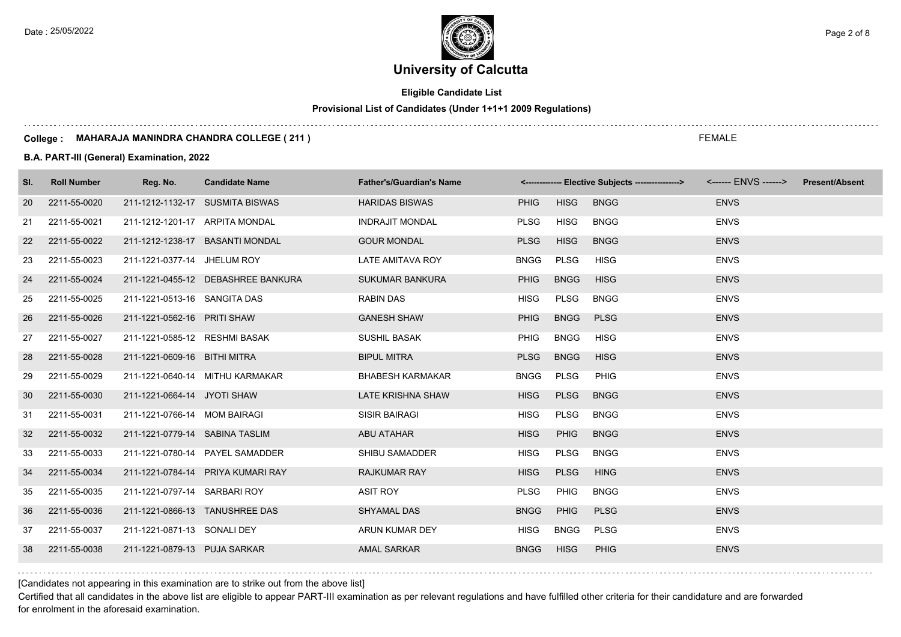Date : 25/05/2022 **Page 2 of 8** Page 2 of 8

# **University of Calcutta**

## **Eligible Candidate List**

## **Provisional List of Candidates (Under 1+1+1 2009 Regulations)**

#### **College : MAHARAJA MANINDRA CHANDRA COLLEGE ( 211 )**

### **B.A. PART-III (General) Examination, 2022**

| SI. | <b>Roll Number</b> | Reg. No.                        | <b>Candidate Name</b>              | <b>Father's/Guardian's Name</b> |             |             |             |             | <b>Present/Absent</b> |
|-----|--------------------|---------------------------------|------------------------------------|---------------------------------|-------------|-------------|-------------|-------------|-----------------------|
| 20  | 2211-55-0020       | 211-1212-1132-17 SUSMITA BISWAS |                                    | <b>HARIDAS BISWAS</b>           | <b>PHIG</b> | <b>HISG</b> | <b>BNGG</b> | <b>ENVS</b> |                       |
| 21  | 2211-55-0021       | 211-1212-1201-17 ARPITA MONDAL  |                                    | <b>INDRAJIT MONDAL</b>          | <b>PLSG</b> | <b>HISG</b> | <b>BNGG</b> | <b>ENVS</b> |                       |
| 22  | 2211-55-0022       |                                 | 211-1212-1238-17 BASANTI MONDAL    | <b>GOUR MONDAL</b>              | <b>PLSG</b> | <b>HISG</b> | <b>BNGG</b> | <b>ENVS</b> |                       |
| 23  | 2211-55-0023       | 211-1221-0377-14 JHELUM ROY     |                                    | LATE AMITAVA ROY                | <b>BNGG</b> | <b>PLSG</b> | <b>HISG</b> | <b>ENVS</b> |                       |
| 24  | 2211-55-0024       |                                 | 211-1221-0455-12 DEBASHREE BANKURA | <b>SUKUMAR BANKURA</b>          | <b>PHIG</b> | <b>BNGG</b> | <b>HISG</b> | <b>ENVS</b> |                       |
| 25  | 2211-55-0025       | 211-1221-0513-16 SANGITA DAS    |                                    | <b>RABIN DAS</b>                | <b>HISG</b> | PLSG        | <b>BNGG</b> | <b>ENVS</b> |                       |
| 26  | 2211-55-0026       | 211-1221-0562-16 PRITI SHAW     |                                    | <b>GANESH SHAW</b>              | <b>PHIG</b> | <b>BNGG</b> | <b>PLSG</b> | <b>ENVS</b> |                       |
| 27  | 2211-55-0027       | 211-1221-0585-12 RESHMI BASAK   |                                    | <b>SUSHIL BASAK</b>             | <b>PHIG</b> | <b>BNGG</b> | <b>HISG</b> | <b>ENVS</b> |                       |
| 28  | 2211-55-0028       | 211-1221-0609-16 BITHI MITRA    |                                    | <b>BIPUL MITRA</b>              | <b>PLSG</b> | <b>BNGG</b> | <b>HISG</b> | <b>ENVS</b> |                       |
| 29  | 2211-55-0029       |                                 | 211-1221-0640-14 MITHU KARMAKAR    | <b>BHABESH KARMAKAR</b>         | <b>BNGG</b> | PLSG        | PHIG        | <b>ENVS</b> |                       |
| 30  | 2211-55-0030       | 211-1221-0664-14 JYOTI SHAW     |                                    | LATE KRISHNA SHAW               | <b>HISG</b> | <b>PLSG</b> | <b>BNGG</b> | <b>ENVS</b> |                       |
| 31  | 2211-55-0031       | 211-1221-0766-14 MOM BAIRAGI    |                                    | <b>SISIR BAIRAGI</b>            | <b>HISG</b> | PLSG        | <b>BNGG</b> | <b>ENVS</b> |                       |
| 32  | 2211-55-0032       | 211-1221-0779-14 SABINA TASLIM  |                                    | <b>ABU ATAHAR</b>               | <b>HISG</b> | <b>PHIG</b> | <b>BNGG</b> | <b>ENVS</b> |                       |
| 33  | 2211-55-0033       |                                 | 211-1221-0780-14 PAYEL SAMADDER    | SHIBU SAMADDER                  | <b>HISG</b> | <b>PLSG</b> | <b>BNGG</b> | <b>ENVS</b> |                       |
| 34  | 2211-55-0034       |                                 | 211-1221-0784-14 PRIYA KUMARI RAY  | <b>RAJKUMAR RAY</b>             | <b>HISG</b> | <b>PLSG</b> | <b>HING</b> | <b>ENVS</b> |                       |
| 35  | 2211-55-0035       | 211-1221-0797-14 SARBARI ROY    |                                    | <b>ASIT ROY</b>                 | <b>PLSG</b> | PHIG        | <b>BNGG</b> | <b>ENVS</b> |                       |
| 36  | 2211-55-0036       | 211-1221-0866-13 TANUSHREE DAS  |                                    | <b>SHYAMAL DAS</b>              | <b>BNGG</b> | <b>PHIG</b> | <b>PLSG</b> | <b>ENVS</b> |                       |
| 37  | 2211-55-0037       | 211-1221-0871-13 SONALI DEY     |                                    | ARUN KUMAR DEY                  | <b>HISG</b> | <b>BNGG</b> | <b>PLSG</b> | <b>ENVS</b> |                       |
| 38  | 2211-55-0038       | 211-1221-0879-13 PUJA SARKAR    |                                    | <b>AMAL SARKAR</b>              | <b>BNGG</b> | <b>HISG</b> | <b>PHIG</b> | <b>ENVS</b> |                       |

[Candidates not appearing in this examination are to strike out from the above list]

Certified that all candidates in the above list are eligible to appear PART-III examination as per relevant regulations and have fulfilled other criteria for their candidature and are forwarded for enrolment in the aforesaid examination.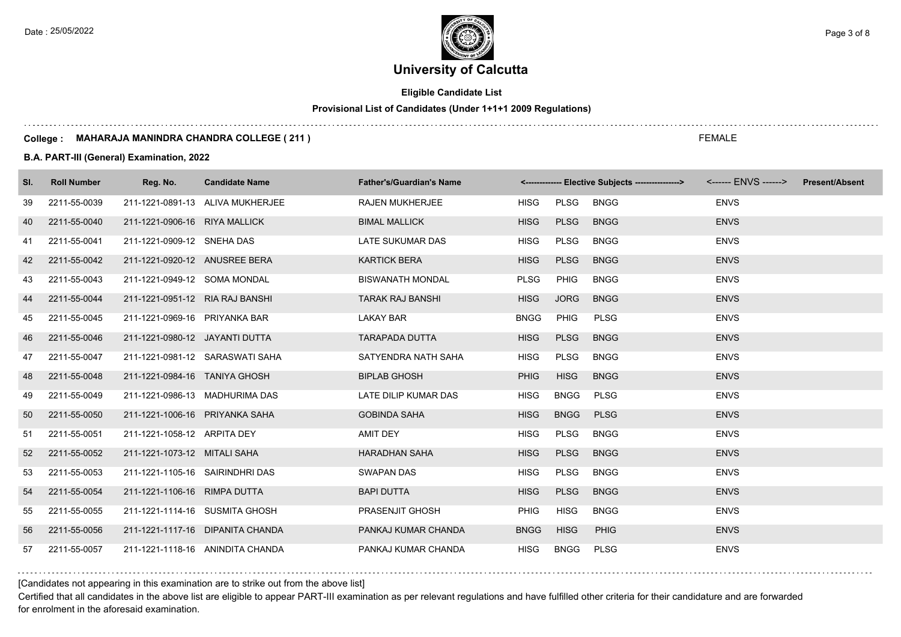**Eligible Candidate List**

**Provisional List of Candidates (Under 1+1+1 2009 Regulations)**

#### **College : MAHARAJA MANINDRA CHANDRA COLLEGE ( 211 )**

**B.A. PART-III (General) Examination, 2022**

| SI.             | <b>Roll Number</b> | Reg. No.                        | <b>Candidate Name</b>            | <b>Father's/Guardian's Name</b> |             |             | <-------------- Elective Subjects ---------------> <------ ENVS ------> Present/Absent |             |  |
|-----------------|--------------------|---------------------------------|----------------------------------|---------------------------------|-------------|-------------|----------------------------------------------------------------------------------------|-------------|--|
| 39              | 2211-55-0039       |                                 | 211-1221-0891-13 ALIVA MUKHERJEE | <b>RAJEN MUKHERJEE</b>          | <b>HISG</b> | PLSG        | <b>BNGG</b>                                                                            | <b>ENVS</b> |  |
| 40              | 2211-55-0040       | 211-1221-0906-16 RIYA MALLICK   |                                  | <b>BIMAL MALLICK</b>            | <b>HISG</b> | <b>PLSG</b> | <b>BNGG</b>                                                                            | <b>ENVS</b> |  |
| 41              | 2211-55-0041       | 211-1221-0909-12 SNEHA DAS      |                                  | LATE SUKUMAR DAS                | <b>HISG</b> | PLSG        | <b>BNGG</b>                                                                            | <b>ENVS</b> |  |
| 42              | 2211-55-0042       | 211-1221-0920-12 ANUSREE BERA   |                                  | <b>KARTICK BERA</b>             | <b>HISG</b> | <b>PLSG</b> | <b>BNGG</b>                                                                            | <b>ENVS</b> |  |
| 43              | 2211-55-0043       | 211-1221-0949-12 SOMA MONDAL    |                                  | <b>BISWANATH MONDAL</b>         | <b>PLSG</b> | <b>PHIG</b> | <b>BNGG</b>                                                                            | <b>ENVS</b> |  |
| 44              | 2211-55-0044       | 211-1221-0951-12 RIA RAJ BANSHI |                                  | <b>TARAK RAJ BANSHI</b>         | <b>HISG</b> | <b>JORG</b> | <b>BNGG</b>                                                                            | <b>ENVS</b> |  |
| 45              | 2211-55-0045       | 211-1221-0969-16 PRIYANKA BAR   |                                  | <b>LAKAY BAR</b>                | <b>BNGG</b> | PHIG        | <b>PLSG</b>                                                                            | <b>ENVS</b> |  |
| 46              | 2211-55-0046       | 211-1221-0980-12 JAYANTI DUTTA  |                                  | <b>TARAPADA DUTTA</b>           | <b>HISG</b> | <b>PLSG</b> | <b>BNGG</b>                                                                            | <b>ENVS</b> |  |
| 47              | 2211-55-0047       |                                 | 211-1221-0981-12 SARASWATI SAHA  | SATYENDRA NATH SAHA             | <b>HISG</b> | <b>PLSG</b> | <b>BNGG</b>                                                                            | <b>ENVS</b> |  |
| 48              | 2211-55-0048       | 211-1221-0984-16 TANIYA GHOSH   |                                  | <b>BIPLAB GHOSH</b>             | <b>PHIG</b> | <b>HISG</b> | <b>BNGG</b>                                                                            | <b>ENVS</b> |  |
| 49              | 2211-55-0049       | 211-1221-0986-13 MADHURIMA DAS  |                                  | LATE DILIP KUMAR DAS            | <b>HISG</b> | BNGG        | PLSG                                                                                   | <b>ENVS</b> |  |
| 50              | 2211-55-0050       | 211-1221-1006-16 PRIYANKA SAHA  |                                  | <b>GOBINDA SAHA</b>             | <b>HISG</b> | <b>BNGG</b> | <b>PLSG</b>                                                                            | <b>ENVS</b> |  |
| 51              | 2211-55-0051       | 211-1221-1058-12 ARPITA DEY     |                                  | AMIT DEY                        | <b>HISG</b> | <b>PLSG</b> | <b>BNGG</b>                                                                            | <b>ENVS</b> |  |
| 52 <sub>2</sub> | 2211-55-0052       | 211-1221-1073-12 MITALI SAHA    |                                  | <b>HARADHAN SAHA</b>            | <b>HISG</b> | <b>PLSG</b> | <b>BNGG</b>                                                                            | <b>ENVS</b> |  |
| 53              | 2211-55-0053       | 211-1221-1105-16 SAIRINDHRI DAS |                                  | <b>SWAPAN DAS</b>               | <b>HISG</b> | <b>PLSG</b> | <b>BNGG</b>                                                                            | <b>ENVS</b> |  |
| 54              | 2211-55-0054       | 211-1221-1106-16 RIMPA DUTTA    |                                  | <b>BAPI DUTTA</b>               | <b>HISG</b> | <b>PLSG</b> | <b>BNGG</b>                                                                            | <b>ENVS</b> |  |
| 55              | 2211-55-0055       | 211-1221-1114-16 SUSMITA GHOSH  |                                  | PRASENJIT GHOSH                 | <b>PHIG</b> | <b>HISG</b> | <b>BNGG</b>                                                                            | <b>ENVS</b> |  |
| 56              | 2211-55-0056       |                                 | 211-1221-1117-16 DIPANITA CHANDA | PANKAJ KUMAR CHANDA             | <b>BNGG</b> | <b>HISG</b> | <b>PHIG</b>                                                                            | <b>ENVS</b> |  |
| 57              | 2211-55-0057       |                                 | 211-1221-1118-16 ANINDITA CHANDA | PANKAJ KUMAR CHANDA             | <b>HISG</b> | <b>BNGG</b> | <b>PLSG</b>                                                                            | <b>ENVS</b> |  |

[Candidates not appearing in this examination are to strike out from the above list]

Certified that all candidates in the above list are eligible to appear PART-III examination as per relevant regulations and have fulfilled other criteria for their candidature and are forwarded for enrolment in the aforesaid examination.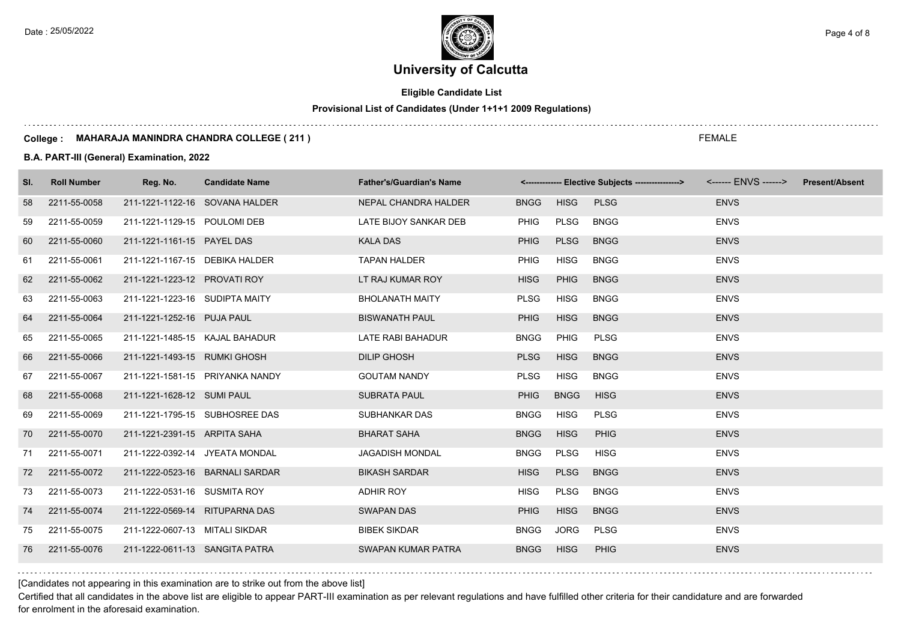Date : 25/05/2022 **Page 4 of 8**  $\leq$  Page 4 of 8

# **University of Calcutta**

## **Eligible Candidate List**

## **Provisional List of Candidates (Under 1+1+1 2009 Regulations)**

#### **College : MAHARAJA MANINDRA CHANDRA COLLEGE ( 211 )**

### **B.A. PART-III (General) Examination, 2022**

| SI. | <b>Roll Number</b> | Reg. No.                       | <b>Candidate Name</b>           | <b>Father's/Guardian's Name</b> |             |             | <-------------- Elective Subjects ----------------> <------ ENVS ------> Present/Absent |             |  |
|-----|--------------------|--------------------------------|---------------------------------|---------------------------------|-------------|-------------|-----------------------------------------------------------------------------------------|-------------|--|
| 58  | 2211-55-0058       | 211-1221-1122-16 SOVANA HALDER |                                 | NEPAL CHANDRA HALDER            | <b>BNGG</b> | <b>HISG</b> | <b>PLSG</b>                                                                             | <b>ENVS</b> |  |
| 59  | 2211-55-0059       | 211-1221-1129-15 POULOMI DEB   |                                 | LATE BIJOY SANKAR DEB           | PHIG        | PLSG        | <b>BNGG</b>                                                                             | <b>ENVS</b> |  |
| 60  | 2211-55-0060       | 211-1221-1161-15 PAYEL DAS     |                                 | <b>KALA DAS</b>                 | <b>PHIG</b> | <b>PLSG</b> | <b>BNGG</b>                                                                             | <b>ENVS</b> |  |
| 61  | 2211-55-0061       | 211-1221-1167-15 DEBIKA HALDER |                                 | <b>TAPAN HALDER</b>             | <b>PHIG</b> | <b>HISG</b> | <b>BNGG</b>                                                                             | <b>ENVS</b> |  |
| 62  | 2211-55-0062       | 211-1221-1223-12 PROVATI ROY   |                                 | LT RAJ KUMAR ROY                | <b>HISG</b> | <b>PHIG</b> | <b>BNGG</b>                                                                             | <b>ENVS</b> |  |
| 63  | 2211-55-0063       | 211-1221-1223-16 SUDIPTA MAITY |                                 | <b>BHOLANATH MAITY</b>          | <b>PLSG</b> | <b>HISG</b> | <b>BNGG</b>                                                                             | <b>ENVS</b> |  |
| 64  | 2211-55-0064       | 211-1221-1252-16 PUJA PAUL     |                                 | <b>BISWANATH PAUL</b>           | <b>PHIG</b> | <b>HISG</b> | <b>BNGG</b>                                                                             | <b>ENVS</b> |  |
| 65  | 2211-55-0065       | 211-1221-1485-15 KAJAL BAHADUR |                                 | LATE RABI BAHADUR               | <b>BNGG</b> | <b>PHIG</b> | <b>PLSG</b>                                                                             | <b>ENVS</b> |  |
| 66  | 2211-55-0066       | 211-1221-1493-15 RUMKI GHOSH   |                                 | <b>DILIP GHOSH</b>              | <b>PLSG</b> | <b>HISG</b> | <b>BNGG</b>                                                                             | <b>ENVS</b> |  |
| 67  | 2211-55-0067       |                                | 211-1221-1581-15 PRIYANKA NANDY | <b>GOUTAM NANDY</b>             | <b>PLSG</b> | <b>HISG</b> | <b>BNGG</b>                                                                             | <b>ENVS</b> |  |
| 68  | 2211-55-0068       | 211-1221-1628-12 SUMI PAUL     |                                 | <b>SUBRATA PAUL</b>             | <b>PHIG</b> | <b>BNGG</b> | <b>HISG</b>                                                                             | <b>ENVS</b> |  |
| 69  | 2211-55-0069       |                                | 211-1221-1795-15 SUBHOSREE DAS  | SUBHANKAR DAS                   | <b>BNGG</b> | <b>HISG</b> | <b>PLSG</b>                                                                             | <b>ENVS</b> |  |
| 70  | 2211-55-0070       | 211-1221-2391-15 ARPITA SAHA   |                                 | <b>BHARAT SAHA</b>              | <b>BNGG</b> | <b>HISG</b> | PHIG                                                                                    | <b>ENVS</b> |  |
| 71  | 2211-55-0071       | 211-1222-0392-14 JYEATA MONDAL |                                 | <b>JAGADISH MONDAL</b>          | <b>BNGG</b> | <b>PLSG</b> | <b>HISG</b>                                                                             | <b>ENVS</b> |  |
| 72  | 2211-55-0072       |                                | 211-1222-0523-16 BARNALI SARDAR | <b>BIKASH SARDAR</b>            | <b>HISG</b> | <b>PLSG</b> | <b>BNGG</b>                                                                             | <b>ENVS</b> |  |
| 73  | 2211-55-0073       | 211-1222-0531-16 SUSMITA ROY   |                                 | ADHIR ROY                       | <b>HISG</b> | PLSG        | <b>BNGG</b>                                                                             | <b>ENVS</b> |  |
| 74  | 2211-55-0074       | 211-1222-0569-14 RITUPARNA DAS |                                 | <b>SWAPAN DAS</b>               | <b>PHIG</b> | <b>HISG</b> | <b>BNGG</b>                                                                             | <b>ENVS</b> |  |
| 75  | 2211-55-0075       | 211-1222-0607-13 MITALI SIKDAR |                                 | <b>BIBEK SIKDAR</b>             | <b>BNGG</b> | JORG        | <b>PLSG</b>                                                                             | <b>ENVS</b> |  |
| 76  | 2211-55-0076       | 211-1222-0611-13 SANGITA PATRA |                                 | SWAPAN KUMAR PATRA              | <b>BNGG</b> | <b>HISG</b> | PHIG                                                                                    | <b>ENVS</b> |  |

[Candidates not appearing in this examination are to strike out from the above list]

Certified that all candidates in the above list are eligible to appear PART-III examination as per relevant regulations and have fulfilled other criteria for their candidature and are forwarded for enrolment in the aforesaid examination.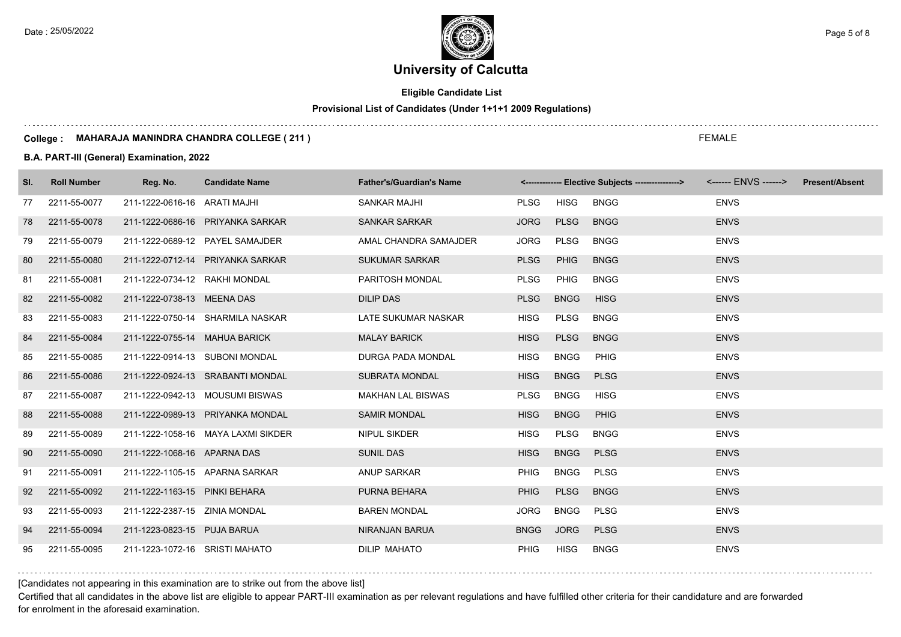## **Eligible Candidate List**

## **Provisional List of Candidates (Under 1+1+1 2009 Regulations)**

#### **College : MAHARAJA MANINDRA CHANDRA COLLEGE ( 211 )**

### **B.A. PART-III (General) Examination, 2022**

| SI. | <b>Roll Number</b> | Reg. No.                       | <b>Candidate Name</b>              | <b>Father's/Guardian's Name</b> |             |             | <------------- Elective Subjects ----------------> |             | <b>Present/Absent</b> |
|-----|--------------------|--------------------------------|------------------------------------|---------------------------------|-------------|-------------|----------------------------------------------------|-------------|-----------------------|
| 77  | 2211-55-0077       | 211-1222-0616-16 ARATI MAJHI   |                                    | <b>SANKAR MAJHI</b>             | <b>PLSG</b> | HISG        | <b>BNGG</b>                                        | <b>ENVS</b> |                       |
| 78  | 2211-55-0078       |                                | 211-1222-0686-16 PRIYANKA SARKAR   | SANKAR SARKAR                   | <b>JORG</b> | <b>PLSG</b> | <b>BNGG</b>                                        | <b>ENVS</b> |                       |
| 79  | 2211-55-0079       |                                | 211-1222-0689-12 PAYEL SAMAJDER    | AMAL CHANDRA SAMAJDER           | <b>JORG</b> | <b>PLSG</b> | <b>BNGG</b>                                        | <b>ENVS</b> |                       |
| 80  | 2211-55-0080       |                                | 211-1222-0712-14 PRIYANKA SARKAR   | <b>SUKUMAR SARKAR</b>           | <b>PLSG</b> | <b>PHIG</b> | <b>BNGG</b>                                        | <b>ENVS</b> |                       |
| 81  | 2211-55-0081       | 211-1222-0734-12 RAKHI MONDAL  |                                    | PARITOSH MONDAL                 | <b>PLSG</b> | <b>PHIG</b> | <b>BNGG</b>                                        | <b>ENVS</b> |                       |
| 82  | 2211-55-0082       | 211-1222-0738-13 MEENA DAS     |                                    | <b>DILIP DAS</b>                | <b>PLSG</b> | <b>BNGG</b> | <b>HISG</b>                                        | <b>ENVS</b> |                       |
| 83  | 2211-55-0083       |                                | 211-1222-0750-14 SHARMILA NASKAR   | LATE SUKUMAR NASKAR             | <b>HISG</b> | <b>PLSG</b> | <b>BNGG</b>                                        | <b>ENVS</b> |                       |
| 84  | 2211-55-0084       | 211-1222-0755-14 MAHUA BARICK  |                                    | <b>MALAY BARICK</b>             | <b>HISG</b> | <b>PLSG</b> | <b>BNGG</b>                                        | <b>ENVS</b> |                       |
| 85  | 2211-55-0085       | 211-1222-0914-13 SUBONI MONDAL |                                    | DURGA PADA MONDAL               | <b>HISG</b> | <b>BNGG</b> | PHIG                                               | <b>ENVS</b> |                       |
| 86  | 2211-55-0086       |                                | 211-1222-0924-13 SRABANTI MONDAL   | <b>SUBRATA MONDAL</b>           | <b>HISG</b> | <b>BNGG</b> | <b>PLSG</b>                                        | <b>ENVS</b> |                       |
| 87  | 2211-55-0087       |                                | 211-1222-0942-13 MOUSUMI BISWAS    | <b>MAKHAN LAL BISWAS</b>        | <b>PLSG</b> | <b>BNGG</b> | <b>HISG</b>                                        | <b>ENVS</b> |                       |
| 88  | 2211-55-0088       |                                | 211-1222-0989-13 PRIYANKA MONDAL   | <b>SAMIR MONDAL</b>             | <b>HISG</b> | <b>BNGG</b> | <b>PHIG</b>                                        | <b>ENVS</b> |                       |
| 89  | 2211-55-0089       |                                | 211-1222-1058-16 MAYA LAXMI SIKDER | <b>NIPUL SIKDER</b>             | <b>HISG</b> | <b>PLSG</b> | <b>BNGG</b>                                        | <b>ENVS</b> |                       |
| 90  | 2211-55-0090       | 211-1222-1068-16 APARNA DAS    |                                    | <b>SUNIL DAS</b>                | <b>HISG</b> | <b>BNGG</b> | <b>PLSG</b>                                        | <b>ENVS</b> |                       |
| 91  | 2211-55-0091       |                                | 211-1222-1105-15 APARNA SARKAR     | <b>ANUP SARKAR</b>              | <b>PHIG</b> | <b>BNGG</b> | <b>PLSG</b>                                        | <b>ENVS</b> |                       |
| 92  | 2211-55-0092       | 211-1222-1163-15 PINKI BEHARA  |                                    | PURNA BEHARA                    | <b>PHIG</b> | <b>PLSG</b> | <b>BNGG</b>                                        | <b>ENVS</b> |                       |
| 93  | 2211-55-0093       | 211-1222-2387-15 ZINIA MONDAL  |                                    | <b>BAREN MONDAL</b>             | <b>JORG</b> | <b>BNGG</b> | <b>PLSG</b>                                        | <b>ENVS</b> |                       |
| 94  | 2211-55-0094       | 211-1223-0823-15 PUJA BARUA    |                                    | NIRANJAN BARUA                  | <b>BNGG</b> | <b>JORG</b> | <b>PLSG</b>                                        | <b>ENVS</b> |                       |
| 95  | 2211-55-0095       | 211-1223-1072-16 SRISTI MAHATO |                                    | <b>DILIP MAHATO</b>             | <b>PHIG</b> | <b>HISG</b> | <b>BNGG</b>                                        | <b>ENVS</b> |                       |

[Candidates not appearing in this examination are to strike out from the above list]

Certified that all candidates in the above list are eligible to appear PART-III examination as per relevant regulations and have fulfilled other criteria for their candidature and are forwarded for enrolment in the aforesaid examination.

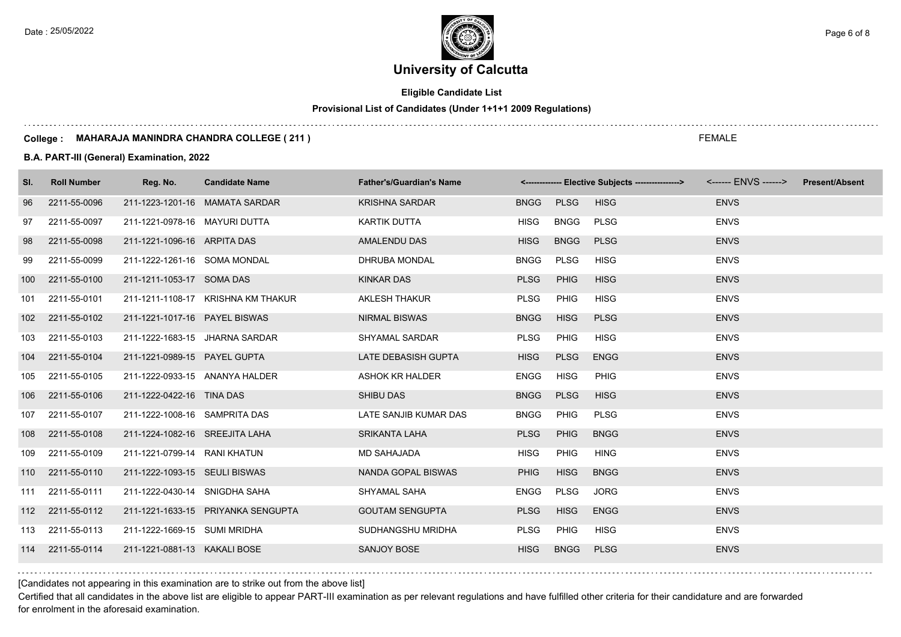$\ldots$  .

Date : 25/05/2022 **Page 6 of 8**  $\leq$  Page 6 of 8

# **University of Calcutta**

## **Eligible Candidate List**

### **Provisional List of Candidates (Under 1+1+1 2009 Regulations)**

#### **College : MAHARAJA MANINDRA CHANDRA COLLEGE ( 211 )**

### **B.A. PART-III (General) Examination, 2022**

| SI. | <b>Roll Number</b> | Reg. No.                       | <b>Candidate Name</b>              | <b>Father's/Guardian's Name</b> |             |             | <------------- Elective Subjects ----------------> |             | <b>Present/Absent</b> |
|-----|--------------------|--------------------------------|------------------------------------|---------------------------------|-------------|-------------|----------------------------------------------------|-------------|-----------------------|
| 96  | 2211-55-0096       |                                | 211-1223-1201-16 MAMATA SARDAR     | <b>KRISHNA SARDAR</b>           | <b>BNGG</b> | <b>PLSG</b> | <b>HISG</b>                                        | <b>ENVS</b> |                       |
| 97  | 2211-55-0097       | 211-1221-0978-16 MAYURI DUTTA  |                                    | KARTIK DUTTA                    | <b>HISG</b> | <b>BNGG</b> | <b>PLSG</b>                                        | <b>ENVS</b> |                       |
| 98  | 2211-55-0098       | 211-1221-1096-16 ARPITA DAS    |                                    | AMALENDU DAS                    | <b>HISG</b> | <b>BNGG</b> | <b>PLSG</b>                                        | <b>ENVS</b> |                       |
| 99  | 2211-55-0099       | 211-1222-1261-16 SOMA MONDAL   |                                    | DHRUBA MONDAL                   | <b>BNGG</b> | <b>PLSG</b> | <b>HISG</b>                                        | <b>ENVS</b> |                       |
| 100 | 2211-55-0100       | 211-1211-1053-17 SOMA DAS      |                                    | <b>KINKAR DAS</b>               | <b>PLSG</b> | <b>PHIG</b> | <b>HISG</b>                                        | <b>ENVS</b> |                       |
| 101 | 2211-55-0101       |                                | 211-1211-1108-17 KRISHNA KM THAKUR | <b>AKLESH THAKUR</b>            | <b>PLSG</b> | <b>PHIG</b> | <b>HISG</b>                                        | <b>ENVS</b> |                       |
| 102 | 2211-55-0102       | 211-1221-1017-16 PAYEL BISWAS  |                                    | <b>NIRMAL BISWAS</b>            | <b>BNGG</b> | <b>HISG</b> | <b>PLSG</b>                                        | <b>ENVS</b> |                       |
| 103 | 2211-55-0103       | 211-1222-1683-15 JHARNA SARDAR |                                    | SHYAMAL SARDAR                  | <b>PLSG</b> | <b>PHIG</b> | <b>HISG</b>                                        | <b>ENVS</b> |                       |
| 104 | 2211-55-0104       | 211-1221-0989-15 PAYEL GUPTA   |                                    | LATE DEBASISH GUPTA             | <b>HISG</b> | <b>PLSG</b> | <b>ENGG</b>                                        | <b>ENVS</b> |                       |
| 105 | 2211-55-0105       | 211-1222-0933-15 ANANYA HALDER |                                    | ASHOK KR HALDER                 | <b>ENGG</b> | <b>HISG</b> | <b>PHIG</b>                                        | <b>ENVS</b> |                       |
| 106 | 2211-55-0106       | 211-1222-0422-16 TINA DAS      |                                    | <b>SHIBU DAS</b>                | <b>BNGG</b> | <b>PLSG</b> | <b>HISG</b>                                        | <b>ENVS</b> |                       |
| 107 | 2211-55-0107       | 211-1222-1008-16 SAMPRITA DAS  |                                    | LATE SANJIB KUMAR DAS           | <b>BNGG</b> | <b>PHIG</b> | <b>PLSG</b>                                        | <b>ENVS</b> |                       |
| 108 | 2211-55-0108       | 211-1224-1082-16 SREEJITA LAHA |                                    | <b>SRIKANTA LAHA</b>            | <b>PLSG</b> | <b>PHIG</b> | <b>BNGG</b>                                        | <b>ENVS</b> |                       |
| 109 | 2211-55-0109       | 211-1221-0799-14 RANI KHATUN   |                                    | <b>MD SAHAJADA</b>              | <b>HISG</b> | <b>PHIG</b> | <b>HING</b>                                        | <b>ENVS</b> |                       |
|     | 110 2211-55-0110   | 211-1222-1093-15 SEULI BISWAS  |                                    | NANDA GOPAL BISWAS              | <b>PHIG</b> | <b>HISG</b> | <b>BNGG</b>                                        | <b>ENVS</b> |                       |
|     | 111 2211-55-0111   | 211-1222-0430-14 SNIGDHA SAHA  |                                    | SHYAMAL SAHA                    | ENGG        | PLSG        | <b>JORG</b>                                        | <b>ENVS</b> |                       |
|     | 112 2211-55-0112   |                                | 211-1221-1633-15 PRIYANKA SENGUPTA | <b>GOUTAM SENGUPTA</b>          | <b>PLSG</b> | <b>HISG</b> | <b>ENGG</b>                                        | <b>ENVS</b> |                       |
| 113 | 2211-55-0113       | 211-1222-1669-15 SUMI MRIDHA   |                                    | SUDHANGSHU MRIDHA               | <b>PLSG</b> | <b>PHIG</b> | <b>HISG</b>                                        | <b>ENVS</b> |                       |
|     | 114 2211-55-0114   | 211-1221-0881-13 KAKALI BOSE   |                                    | <b>SANJOY BOSE</b>              | <b>HISG</b> | <b>BNGG</b> | <b>PLSG</b>                                        | <b>ENVS</b> |                       |

[Candidates not appearing in this examination are to strike out from the above list]

Certified that all candidates in the above list are eligible to appear PART-III examination as per relevant regulations and have fulfilled other criteria for their candidature and are forwarded for enrolment in the aforesaid examination.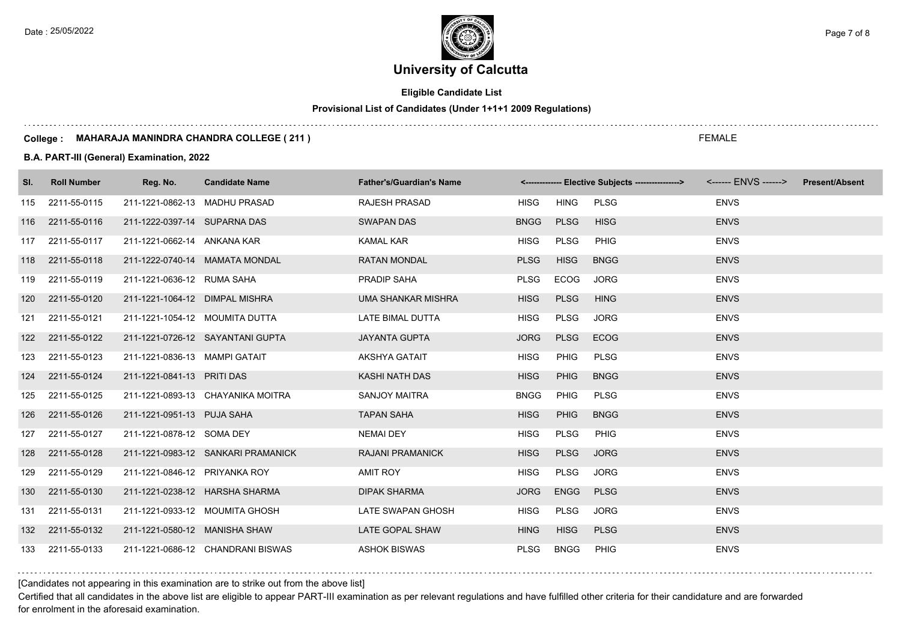## **Eligible Candidate List**

## **Provisional List of Candidates (Under 1+1+1 2009 Regulations)**

#### **College : MAHARAJA MANINDRA CHANDRA COLLEGE ( 211 )**

### **B.A. PART-III (General) Examination, 2022**

| SI. | <b>Roll Number</b> | Reg. No.                       | <b>Candidate Name</b>              | <b>Father's/Guardian's Name</b> |             |             | <-------------- Elective Subjects ----------------> |             | <b>Present/Absent</b> |
|-----|--------------------|--------------------------------|------------------------------------|---------------------------------|-------------|-------------|-----------------------------------------------------|-------------|-----------------------|
| 115 | 2211-55-0115       | 211-1221-0862-13 MADHU PRASAD  |                                    | <b>RAJESH PRASAD</b>            | <b>HISG</b> | <b>HING</b> | <b>PLSG</b>                                         | <b>ENVS</b> |                       |
|     | 116 2211-55-0116   | 211-1222-0397-14 SUPARNA DAS   |                                    | <b>SWAPAN DAS</b>               | <b>BNGG</b> | <b>PLSG</b> | <b>HISG</b>                                         | <b>ENVS</b> |                       |
| 117 | 2211-55-0117       | 211-1221-0662-14 ANKANA KAR    |                                    | <b>KAMAL KAR</b>                | <b>HISG</b> | <b>PLSG</b> | <b>PHIG</b>                                         | <b>ENVS</b> |                       |
|     | 118 2211-55-0118   |                                | 211-1222-0740-14 MAMATA MONDAL     | <b>RATAN MONDAL</b>             | <b>PLSG</b> | <b>HISG</b> | <b>BNGG</b>                                         | <b>ENVS</b> |                       |
|     | 119 2211-55-0119   | 211-1221-0636-12 RUMA SAHA     |                                    | <b>PRADIP SAHA</b>              | <b>PLSG</b> | <b>ECOG</b> | <b>JORG</b>                                         | <b>ENVS</b> |                       |
|     | 120 2211-55-0120   | 211-1221-1064-12 DIMPAL MISHRA |                                    | <b>UMA SHANKAR MISHRA</b>       | <b>HISG</b> | <b>PLSG</b> | <b>HING</b>                                         | <b>ENVS</b> |                       |
| 121 | 2211-55-0121       | 211-1221-1054-12 MOUMITA DUTTA |                                    | LATE BIMAL DUTTA                | <b>HISG</b> | <b>PLSG</b> | <b>JORG</b>                                         | <b>ENVS</b> |                       |
|     | 122 2211-55-0122   |                                | 211-1221-0726-12 SAYANTANI GUPTA   | <b>JAYANTA GUPTA</b>            | <b>JORG</b> | <b>PLSG</b> | <b>ECOG</b>                                         | <b>ENVS</b> |                       |
|     | 123 2211-55-0123   | 211-1221-0836-13 MAMPI GATAIT  |                                    | <b>AKSHYA GATAIT</b>            | <b>HISG</b> | <b>PHIG</b> | <b>PLSG</b>                                         | <b>ENVS</b> |                       |
| 124 | 2211-55-0124       | 211-1221-0841-13 PRITI DAS     |                                    | KASHI NATH DAS                  | <b>HISG</b> | <b>PHIG</b> | <b>BNGG</b>                                         | <b>ENVS</b> |                       |
| 125 | 2211-55-0125       |                                | 211-1221-0893-13 CHAYANIKA MOITRA  | SANJOY MAITRA                   | <b>BNGG</b> | <b>PHIG</b> | <b>PLSG</b>                                         | <b>ENVS</b> |                       |
| 126 | 2211-55-0126       | 211-1221-0951-13 PUJA SAHA     |                                    | <b>TAPAN SAHA</b>               | <b>HISG</b> | <b>PHIG</b> | <b>BNGG</b>                                         | <b>ENVS</b> |                       |
| 127 | 2211-55-0127       | 211-1221-0878-12 SOMA DEY      |                                    | <b>NEMAI DEY</b>                | <b>HISG</b> | <b>PLSG</b> | PHIG                                                | <b>ENVS</b> |                       |
| 128 | 2211-55-0128       |                                | 211-1221-0983-12 SANKARI PRAMANICK | <b>RAJANI PRAMANICK</b>         | <b>HISG</b> | <b>PLSG</b> | <b>JORG</b>                                         | <b>ENVS</b> |                       |
| 129 | 2211-55-0129       | 211-1221-0846-12 PRIYANKA ROY  |                                    | <b>AMIT ROY</b>                 | <b>HISG</b> | <b>PLSG</b> | <b>JORG</b>                                         | <b>ENVS</b> |                       |
|     | 130 2211-55-0130   | 211-1221-0238-12 HARSHA SHARMA |                                    | <b>DIPAK SHARMA</b>             | <b>JORG</b> | <b>ENGG</b> | <b>PLSG</b>                                         | <b>ENVS</b> |                       |
| 131 | 2211-55-0131       |                                | 211-1221-0933-12 MOUMITA GHOSH     | LATE SWAPAN GHOSH               | <b>HISG</b> | <b>PLSG</b> | <b>JORG</b>                                         | <b>ENVS</b> |                       |
|     | 132 2211-55-0132   | 211-1221-0580-12 MANISHA SHAW  |                                    | LATE GOPAL SHAW                 | <b>HING</b> | <b>HISG</b> | <b>PLSG</b>                                         | <b>ENVS</b> |                       |
|     | 133 2211-55-0133   |                                | 211-1221-0686-12 CHANDRANI BISWAS  | <b>ASHOK BISWAS</b>             | <b>PLSG</b> | <b>BNGG</b> | PHIG                                                | <b>ENVS</b> |                       |

## [Candidates not appearing in this examination are to strike out from the above list]

Certified that all candidates in the above list are eligible to appear PART-III examination as per relevant regulations and have fulfilled other criteria for their candidature and are forwarded for enrolment in the aforesaid examination.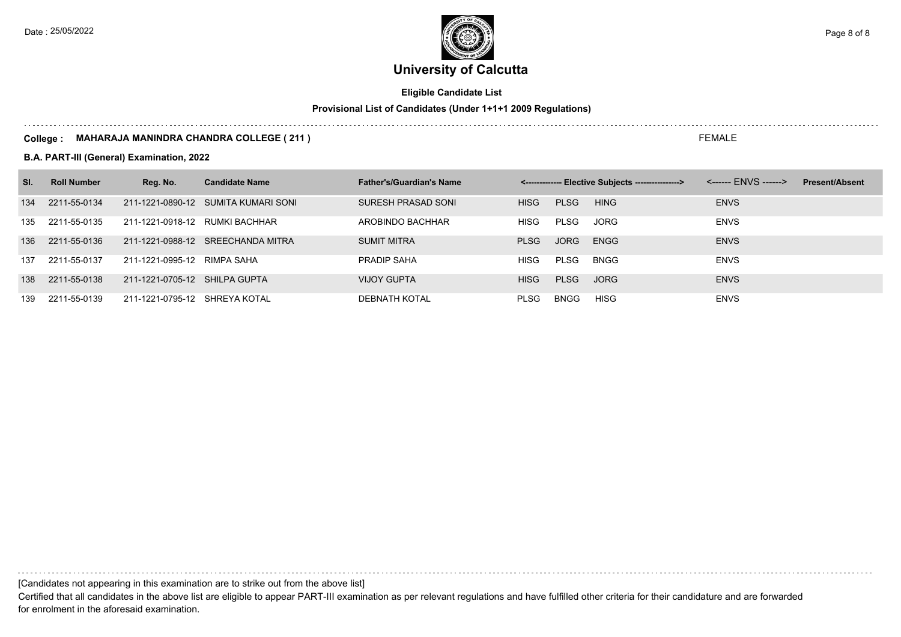

## **Eligible Candidate List**

## **Provisional List of Candidates (Under 1+1+1 2009 Regulations)**

#### **College : MAHARAJA MANINDRA CHANDRA COLLEGE ( 211 )**

**B.A. PART-III (General) Examination, 2022**

| SI. | <b>Roll Number</b> | Reg. No.                       | <b>Candidate Name</b>               | <b>Father's/Guardian's Name</b> |             |             | <------------- Elective Subjects ---------------> |             | <b>Present/Absent</b> |
|-----|--------------------|--------------------------------|-------------------------------------|---------------------------------|-------------|-------------|---------------------------------------------------|-------------|-----------------------|
| 134 | 2211-55-0134       |                                | 211-1221-0890-12 SUMITA KUMARI SONI | SURESH PRASAD SONI              | <b>HISG</b> | <b>PLSG</b> | <b>HING</b>                                       | <b>ENVS</b> |                       |
| 135 | 2211-55-0135       | 211-1221-0918-12 RUMKI BACHHAR |                                     | AROBINDO BACHHAR                | <b>HISG</b> | <b>PLSG</b> | <b>JORG</b>                                       | <b>ENVS</b> |                       |
| 136 | 2211-55-0136       |                                | 211-1221-0988-12 SREECHANDA MITRA   | <b>SUMIT MITRA</b>              | <b>PLSG</b> | JORG        | <b>ENGG</b>                                       | <b>ENVS</b> |                       |
| 137 | 2211-55-0137       | 211-1221-0995-12 RIMPA SAHA    |                                     | PRADIP SAHA                     | <b>HISG</b> | PLSG        | <b>BNGG</b>                                       | <b>ENVS</b> |                       |
| 138 | 2211-55-0138       | 211-1221-0705-12 SHILPA GUPTA  |                                     | <b>VIJOY GUPTA</b>              | <b>HISG</b> | <b>PLSG</b> | <b>JORG</b>                                       | <b>ENVS</b> |                       |
| 139 | 2211-55-0139       | 211-1221-0795-12 SHREYA KOTAL  |                                     | <b>DEBNATH KOTAL</b>            | <b>PLSG</b> | <b>BNGG</b> | HISG                                              | <b>ENVS</b> |                       |

[Candidates not appearing in this examination are to strike out from the above list]

Certified that all candidates in the above list are eligible to appear PART-III examination as per relevant regulations and have fulfilled other criteria for their candidature and are forwarded for enrolment in the aforesaid examination.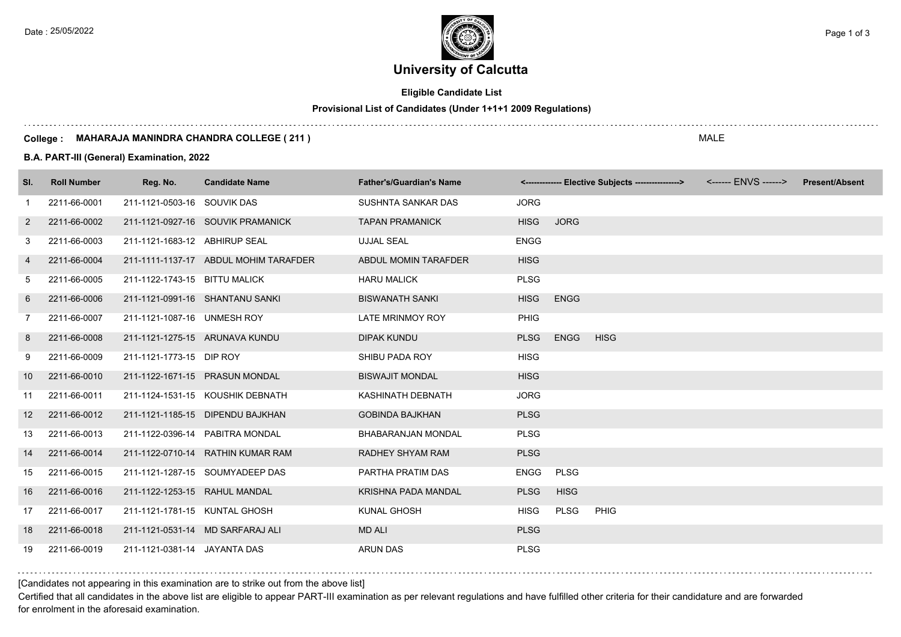## **Eligible Candidate List**

## **Provisional List of Candidates (Under 1+1+1 2009 Regulations)**

#### **College : MAHARAJA MANINDRA CHANDRA COLLEGE ( 211 )**

### **B.A. PART-III (General) Examination, 2022**

| SI.             | <b>Roll Number</b> | Reg. No.                      | <b>Candidate Name</b>                 | <b>Father's/Guardian's Name</b> |             |             | <-------------- Elective Subjects ----------------> | <b>Present/Absent</b> |
|-----------------|--------------------|-------------------------------|---------------------------------------|---------------------------------|-------------|-------------|-----------------------------------------------------|-----------------------|
| -1              | 2211-66-0001       | 211-1121-0503-16 SOUVIK DAS   |                                       | SUSHNTA SANKAR DAS              | <b>JORG</b> |             |                                                     |                       |
| 2               | 2211-66-0002       |                               | 211-1121-0927-16 SOUVIK PRAMANICK     | <b>TAPAN PRAMANICK</b>          | <b>HISG</b> | <b>JORG</b> |                                                     |                       |
| 3               | 2211-66-0003       | 211-1121-1683-12 ABHIRUP SEAL |                                       | <b>UJJAL SEAL</b>               | <b>ENGG</b> |             |                                                     |                       |
| $\overline{4}$  | 2211-66-0004       |                               | 211-1111-1137-17 ABDUL MOHIM TARAFDER | ABDUL MOMIN TARAFDER            | <b>HISG</b> |             |                                                     |                       |
| 5               | 2211-66-0005       | 211-1122-1743-15 BITTU MALICK |                                       | <b>HARU MALICK</b>              | <b>PLSG</b> |             |                                                     |                       |
| 6               | 2211-66-0006       |                               | 211-1121-0991-16 SHANTANU SANKI       | <b>BISWANATH SANKI</b>          | <b>HISG</b> | <b>ENGG</b> |                                                     |                       |
| $\overline{7}$  | 2211-66-0007       | 211-1121-1087-16 UNMESH ROY   |                                       | <b>LATE MRINMOY ROY</b>         | <b>PHIG</b> |             |                                                     |                       |
| 8               | 2211-66-0008       |                               | 211-1121-1275-15 ARUNAVA KUNDU        | <b>DIPAK KUNDU</b>              | <b>PLSG</b> | <b>ENGG</b> | <b>HISG</b>                                         |                       |
| 9               | 2211-66-0009       | 211-1121-1773-15 DIP ROY      |                                       | SHIBU PADA ROY                  | <b>HISG</b> |             |                                                     |                       |
| 10              | 2211-66-0010       |                               | 211-1122-1671-15 PRASUN MONDAL        | <b>BISWAJIT MONDAL</b>          | <b>HISG</b> |             |                                                     |                       |
| 11              | 2211-66-0011       |                               | 211-1124-1531-15 KOUSHIK DEBNATH      | KASHINATH DEBNATH               | <b>JORG</b> |             |                                                     |                       |
| 12 <sup>2</sup> | 2211-66-0012       |                               | 211-1121-1185-15 DIPENDU BAJKHAN      | <b>GOBINDA BAJKHAN</b>          | <b>PLSG</b> |             |                                                     |                       |
| 13              | 2211-66-0013       |                               | 211-1122-0396-14 PABITRA MONDAL       | <b>BHABARANJAN MONDAL</b>       | <b>PLSG</b> |             |                                                     |                       |
| 14              | 2211-66-0014       |                               | 211-1122-0710-14 RATHIN KUMAR RAM     | RADHEY SHYAM RAM                | <b>PLSG</b> |             |                                                     |                       |
| 15              | 2211-66-0015       |                               | 211-1121-1287-15 SOUMYADEEP DAS       | PARTHA PRATIM DAS               | <b>ENGG</b> | <b>PLSG</b> |                                                     |                       |
| 16              | 2211-66-0016       | 211-1122-1253-15 RAHUL MANDAL |                                       | KRISHNA PADA MANDAL             | <b>PLSG</b> | <b>HISG</b> |                                                     |                       |
| 17              | 2211-66-0017       | 211-1121-1781-15 KUNTAL GHOSH |                                       | <b>KUNAL GHOSH</b>              | <b>HISG</b> | PLSG        | PHIG                                                |                       |
| 18              | 2211-66-0018       |                               | 211-1121-0531-14 MD SARFARAJ ALI      | <b>MD ALI</b>                   | <b>PLSG</b> |             |                                                     |                       |
| 19              | 2211-66-0019       | 211-1121-0381-14 JAYANTA DAS  |                                       | <b>ARUN DAS</b>                 | <b>PLSG</b> |             |                                                     |                       |

[Candidates not appearing in this examination are to strike out from the above list]

Certified that all candidates in the above list are eligible to appear PART-III examination as per relevant regulations and have fulfilled other criteria for their candidature and are forwarded for enrolment in the aforesaid examination.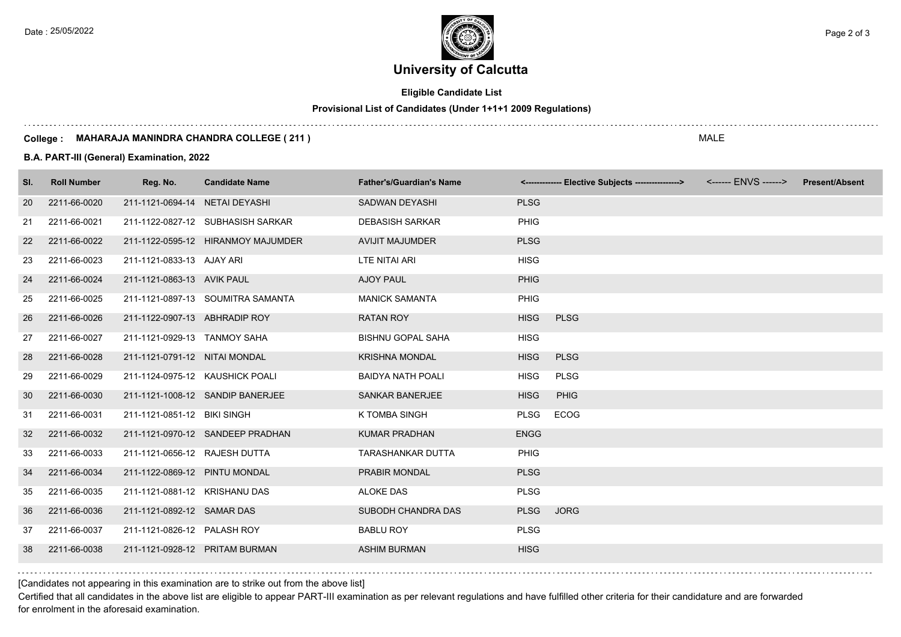Date : 25/05/2022 **Page 2 of 3** Page 2 of 3

# **University of Calcutta**

## **Eligible Candidate List**

## **Provisional List of Candidates (Under 1+1+1 2009 Regulations)**

#### **College : MAHARAJA MANINDRA CHANDRA COLLEGE ( 211 )**

### **B.A. PART-III (General) Examination, 2022**

| SI. | <b>Roll Number</b> | Reg. No.                        | <b>Candidate Name</b>              | <b>Father's/Guardian's Name</b> |             | <-------------- Elective Subjects ----------------> | <b>Present/Absent</b> |
|-----|--------------------|---------------------------------|------------------------------------|---------------------------------|-------------|-----------------------------------------------------|-----------------------|
| 20  | 2211-66-0020       | 211-1121-0694-14 NETAI DEYASHI  |                                    | <b>SADWAN DEYASHI</b>           | <b>PLSG</b> |                                                     |                       |
| 21  | 2211-66-0021       |                                 | 211-1122-0827-12 SUBHASISH SARKAR  | <b>DEBASISH SARKAR</b>          | <b>PHIG</b> |                                                     |                       |
| 22  | 2211-66-0022       |                                 | 211-1122-0595-12 HIRANMOY MAJUMDER | <b>AVIJIT MAJUMDER</b>          | <b>PLSG</b> |                                                     |                       |
| 23  | 2211-66-0023       | 211-1121-0833-13 AJAY ARI       |                                    | LTE NITAI ARI                   | <b>HISG</b> |                                                     |                       |
| 24  | 2211-66-0024       | 211-1121-0863-13 AVIK PAUL      |                                    | <b>AJOY PAUL</b>                | <b>PHIG</b> |                                                     |                       |
| 25  | 2211-66-0025       |                                 | 211-1121-0897-13 SOUMITRA SAMANTA  | <b>MANICK SAMANTA</b>           | PHIG        |                                                     |                       |
| 26  | 2211-66-0026       | 211-1122-0907-13 ABHRADIP ROY   |                                    | <b>RATAN ROY</b>                | <b>HISG</b> | <b>PLSG</b>                                         |                       |
| 27  | 2211-66-0027       | 211-1121-0929-13 TANMOY SAHA    |                                    | <b>BISHNU GOPAL SAHA</b>        | <b>HISG</b> |                                                     |                       |
| 28  | 2211-66-0028       | 211-1121-0791-12 NITAI MONDAL   |                                    | <b>KRISHNA MONDAL</b>           | <b>HISG</b> | <b>PLSG</b>                                         |                       |
| 29  | 2211-66-0029       | 211-1124-0975-12 KAUSHICK POALI |                                    | <b>BAIDYA NATH POALI</b>        | <b>HISG</b> | <b>PLSG</b>                                         |                       |
| 30  | 2211-66-0030       |                                 | 211-1121-1008-12 SANDIP BANERJEE   | <b>SANKAR BANERJEE</b>          | <b>HISG</b> | <b>PHIG</b>                                         |                       |
| 31  | 2211-66-0031       | 211-1121-0851-12 BIKI SINGH     |                                    | K TOMBA SINGH                   | <b>PLSG</b> | ECOG                                                |                       |
| 32  | 2211-66-0032       |                                 | 211-1121-0970-12 SANDEEP PRADHAN   | <b>KUMAR PRADHAN</b>            | <b>ENGG</b> |                                                     |                       |
| 33  | 2211-66-0033       | 211-1121-0656-12 RAJESH DUTTA   |                                    | <b>TARASHANKAR DUTTA</b>        | <b>PHIG</b> |                                                     |                       |
| 34  | 2211-66-0034       | 211-1122-0869-12 PINTU MONDAL   |                                    | PRABIR MONDAL                   | <b>PLSG</b> |                                                     |                       |
| 35  | 2211-66-0035       | 211-1121-0881-12 KRISHANU DAS   |                                    | <b>ALOKE DAS</b>                | <b>PLSG</b> |                                                     |                       |
| 36  | 2211-66-0036       | 211-1121-0892-12 SAMAR DAS      |                                    | SUBODH CHANDRA DAS              | <b>PLSG</b> | <b>JORG</b>                                         |                       |
| 37  | 2211-66-0037       | 211-1121-0826-12 PALASH ROY     |                                    | <b>BABLU ROY</b>                | <b>PLSG</b> |                                                     |                       |
| 38  | 2211-66-0038       | 211-1121-0928-12 PRITAM BURMAN  |                                    | <b>ASHIM BURMAN</b>             | <b>HISG</b> |                                                     |                       |

## [Candidates not appearing in this examination are to strike out from the above list]

Certified that all candidates in the above list are eligible to appear PART-III examination as per relevant regulations and have fulfilled other criteria for their candidature and are forwarded for enrolment in the aforesaid examination.